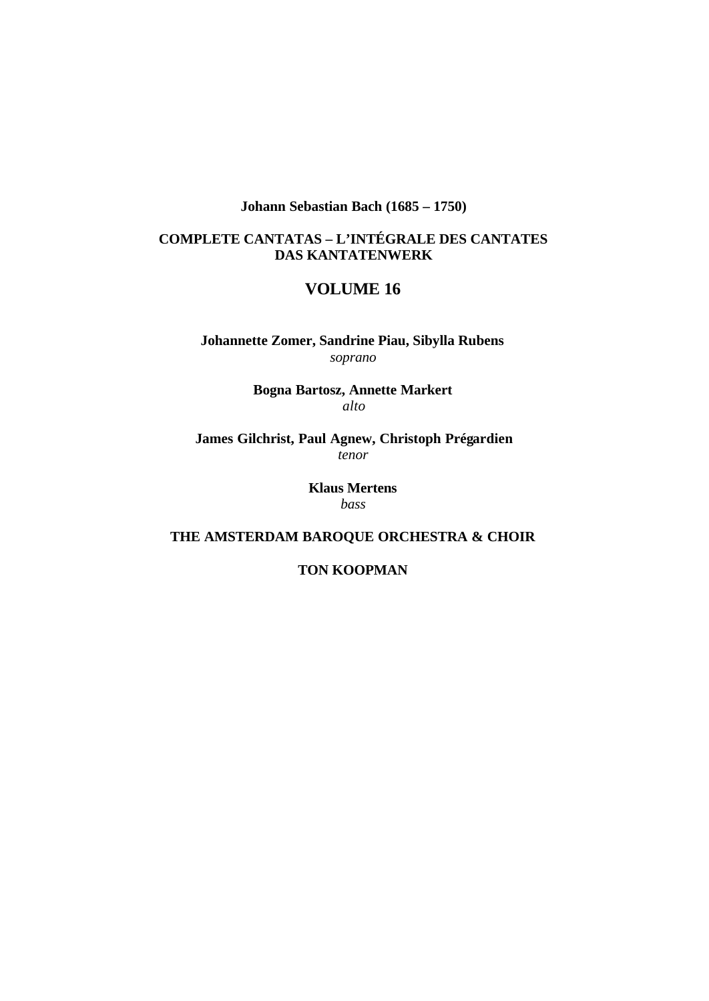**Johann Sebastian Bach (1685 – 1750)**

### **COMPLETE CANTATAS – L'INTÉGRALE DES CANTATES DAS KANTATENWERK**

## **VOLUME 16**

**Johannette Zomer, Sandrine Piau, Sibylla Rubens** *soprano*

> **Bogna Bartosz, Annette Markert** *alto*

**James Gilchrist, Paul Agnew, Christoph Prégardien** *tenor*

> **Klaus Mertens** *bass*

**THE AMSTERDAM BAROQUE ORCHESTRA & CHOIR**

**TON KOOPMAN**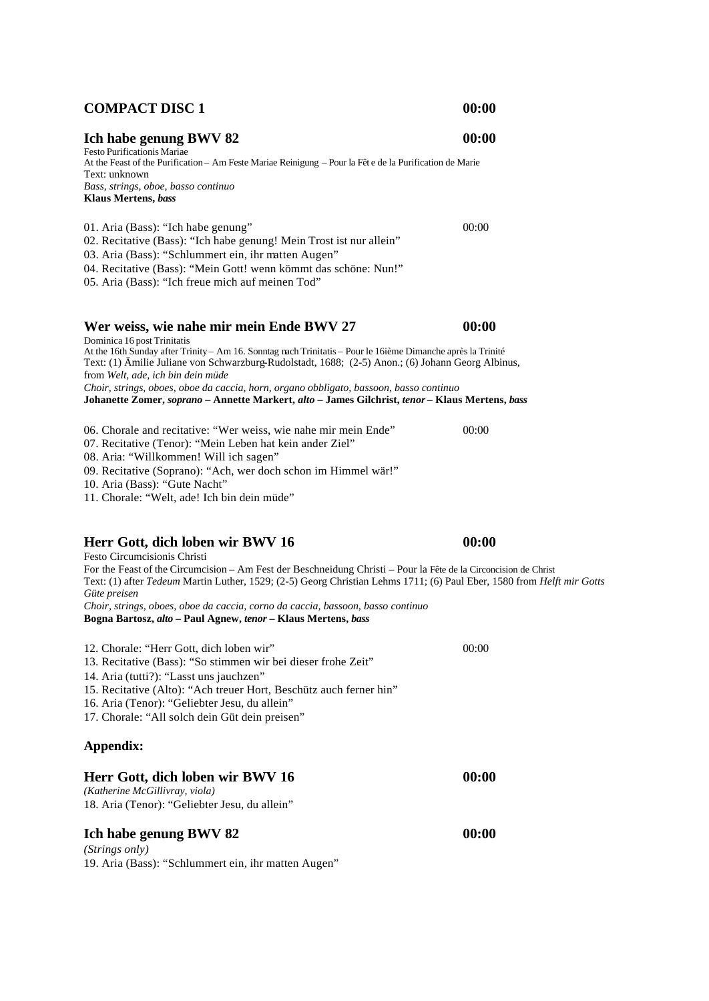## **COMPACT DISC 1 00:00**

**Ich habe genung BWV 82 00:00**

Festo Purificationis Mariae At the Feast of the Purification – Am Feste Mariae Reinigung – Pour la Fêt e de la Purification de Marie Text: unknown *Bass, strings, oboe, basso continuo* **Klaus Mertens,** *bass* 

01. Aria (Bass): "Ich habe genung" 00:00 02. Recitative (Bass): "Ich habe genung! Mein Trost ist nur allein" 03. Aria (Bass): "Schlummert ein, ihr matten Augen" 04. Recitative (Bass): "Mein Gott! wenn kömmt das schöne: Nun!"

05. Aria (Bass): "Ich freue mich auf meinen Tod"

#### **Wer weiss, wie nahe mir mein Ende BWV 27 00:00**

Dominica 16 post Trinitatis At the 16th Sunday after Trinity – Am 16. Sonntag nach Trinitatis – Pour le 16ième Dimanche après la Trinité Text: (1) Ämilie Juliane von Schwarzburg-Rudolstadt, 1688; (2-5) Anon.; (6) Johann Georg Albinus, from *Welt, ade, ich bin dein müde Choir, strings, oboes, oboe da caccia, horn, organo obbligato, bassoon, basso continuo* **Johanette Zomer,** *soprano* **– Annette Markert,** *alto* **– James Gilchrist,** *tenor* **– Klaus Mertens,** *bass*

06. Chorale and recitative: "Wer weiss, wie nahe mir mein Ende" 00:00 07. Recitative (Tenor): "Mein Leben hat kein ander Ziel" 08. Aria: "Willkommen! Will ich sagen" 09. Recitative (Soprano): "Ach, wer doch schon im Himmel wär!"

10. Aria (Bass): "Gute Nacht"

11. Chorale: "Welt, ade! Ich bin dein müde"

### **Herr Gott, dich loben wir BWV 16 00:00**

Festo Circumcisionis Christi For the Feast of the Circumcision – Am Fest der Beschneidung Christi – Pour la Fête de la Circoncision de Christ Text: (1) after *Tedeum* Martin Luther, 1529; (2-5) Georg Christian Lehms 1711; (6) Paul Eber, 1580 from *Helft mir Gotts Güte preisen Choir, strings, oboes, oboe da caccia, corno da caccia, bassoon, basso continuo*

| Choir, strings, oboes, oboe aa caccia, corno aa caccia, bassoon, basso continuo<br>Bogna Bartosz, alto – Paul Agnew, tenor – Klaus Mertens, bass                                                                                                                                                                              |       |  |
|-------------------------------------------------------------------------------------------------------------------------------------------------------------------------------------------------------------------------------------------------------------------------------------------------------------------------------|-------|--|
| 12. Chorale: "Herr Gott, dich loben wir"<br>13. Recitative (Bass): "So stimmen wir bei dieser frohe Zeit"<br>14. Aria (tutti?): "Lasst uns jauchzen"<br>15. Recitative (Alto): "Ach treuer Hort, Beschütz auch ferner hin"<br>16. Aria (Tenor): "Geliebter Jesu, du allein"<br>17. Chorale: "All solch dein Güt dein preisen" | 00:00 |  |
| Appendix:                                                                                                                                                                                                                                                                                                                     |       |  |
| Herr Gott, dich loben wir BWV 16<br>(Katherine McGillivray, viola)<br>18. Aria (Tenor): "Geliebter Jesu, du allein"                                                                                                                                                                                                           | 00:00 |  |
| Ich habe genung BWV 82                                                                                                                                                                                                                                                                                                        | 00:00 |  |

*(Strings only)* 19. Aria (Bass): "Schlummert ein, ihr matten Augen"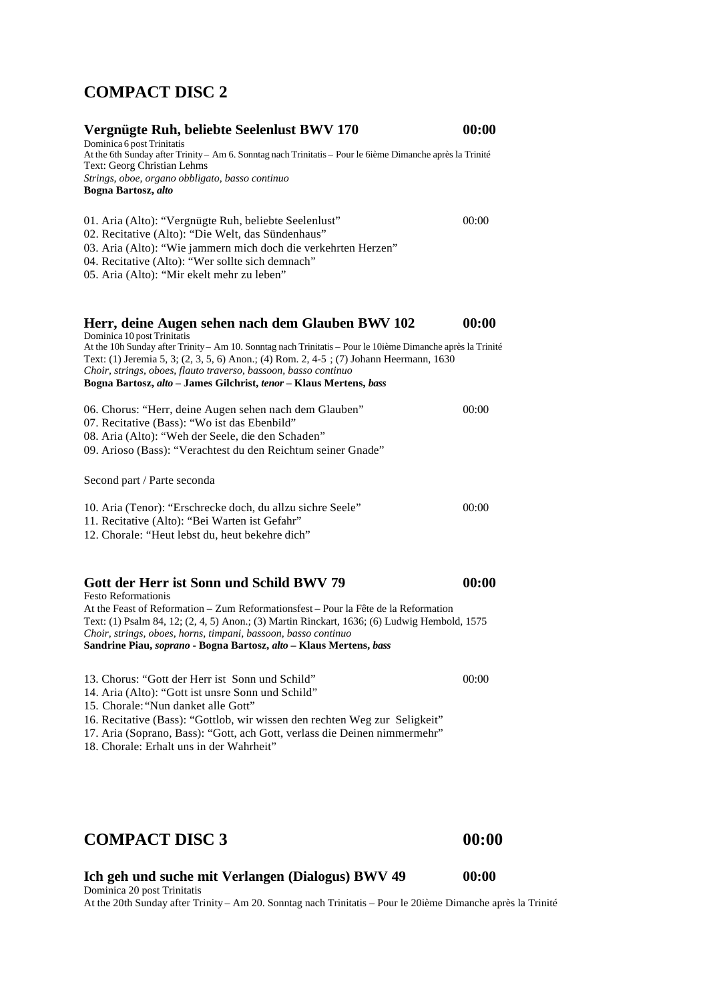## **COMPACT DISC 2**

| Vergnügte Ruh, beliebte Seelenlust BWV 170                                                                                                                                                                                                                                                                                                                                    | 00:00 |
|-------------------------------------------------------------------------------------------------------------------------------------------------------------------------------------------------------------------------------------------------------------------------------------------------------------------------------------------------------------------------------|-------|
| Dominica 6 post Trinitatis<br>At the 6th Sunday after Trinity - Am 6. Sonntag nach Trinitatis - Pour le 6ième Dimanche après la Trinité<br>Text: Georg Christian Lehms                                                                                                                                                                                                        |       |
| Strings, oboe, organo obbligato, basso continuo                                                                                                                                                                                                                                                                                                                               |       |
| Bogna Bartosz, alto                                                                                                                                                                                                                                                                                                                                                           |       |
| 01. Aria (Alto): "Vergnügte Ruh, beliebte Seelenlust"                                                                                                                                                                                                                                                                                                                         | 00:00 |
| 02. Recitative (Alto): "Die Welt, das Sündenhaus"                                                                                                                                                                                                                                                                                                                             |       |
| 03. Aria (Alto): "Wie jammern mich doch die verkehrten Herzen"                                                                                                                                                                                                                                                                                                                |       |
| 04. Recitative (Alto): "Wer sollte sich demnach"                                                                                                                                                                                                                                                                                                                              |       |
| 05. Aria (Alto): "Mir ekelt mehr zu leben"                                                                                                                                                                                                                                                                                                                                    |       |
| Herr, deine Augen sehen nach dem Glauben BWV 102                                                                                                                                                                                                                                                                                                                              | 00:00 |
| Dominica 10 post Trinitatis<br>At the 10h Sunday after Trinity - Am 10. Sonntag nach Trinitatis - Pour le 10ième Dimanche après la Trinité<br>Text: (1) Jeremia 5, 3; (2, 3, 5, 6) Anon.; (4) Rom. 2, 4-5; (7) Johann Heermann, 1630<br>Choir, strings, oboes, flauto traverso, bassoon, basso continuo<br>Bogna Bartosz, alto - James Gilchrist, tenor - Klaus Mertens, bass |       |
| 06. Chorus: "Herr, deine Augen sehen nach dem Glauben"                                                                                                                                                                                                                                                                                                                        | 00:00 |
| 07. Recitative (Bass): "Wo ist das Ebenbild"                                                                                                                                                                                                                                                                                                                                  |       |
| 08. Aria (Alto): "Weh der Seele, die den Schaden"                                                                                                                                                                                                                                                                                                                             |       |
| 09. Arioso (Bass): "Verachtest du den Reichtum seiner Gnade"                                                                                                                                                                                                                                                                                                                  |       |
| Second part / Parte seconda                                                                                                                                                                                                                                                                                                                                                   |       |
| 10. Aria (Tenor): "Erschrecke doch, du allzu sichre Seele"                                                                                                                                                                                                                                                                                                                    | 00:00 |
| 11. Recitative (Alto): "Bei Warten ist Gefahr"                                                                                                                                                                                                                                                                                                                                |       |
| 12. Chorale: "Heut lebst du, heut bekehre dich"                                                                                                                                                                                                                                                                                                                               |       |
| Gott der Herr ist Sonn und Schild BWV 79                                                                                                                                                                                                                                                                                                                                      | 00:00 |
| <b>Festo Reformationis</b>                                                                                                                                                                                                                                                                                                                                                    |       |
| At the Feast of Reformation - Zum Reformationsfest - Pour la Fête de la Reformation<br>Text: (1) Psalm 84, 12; (2, 4, 5) Anon.; (3) Martin Rinckart, 1636; (6) Ludwig Hembold, 1575<br>Choir, strings, oboes, horns, timpani, bassoon, basso continuo                                                                                                                         |       |
| Sandrine Piau, soprano - Bogna Bartosz, alto - Klaus Mertens, bass                                                                                                                                                                                                                                                                                                            |       |
| 13. Chorus: "Gott der Herr ist Sonn und Schild"                                                                                                                                                                                                                                                                                                                               | 00:00 |
| 14. Aria (Alto): "Gott ist unsre Sonn und Schild"                                                                                                                                                                                                                                                                                                                             |       |
| 15. Chorale: "Nun danket alle Gott"                                                                                                                                                                                                                                                                                                                                           |       |
| 16. Recitative (Bass): "Gottlob, wir wissen den rechten Weg zur Seligkeit"<br>17. Aria (Soprano, Bass): "Gott, ach Gott, verlass die Deinen nimmermehr"<br>18. Chorale: Erhalt uns in der Wahrheit"                                                                                                                                                                           |       |
|                                                                                                                                                                                                                                                                                                                                                                               |       |
|                                                                                                                                                                                                                                                                                                                                                                               |       |
|                                                                                                                                                                                                                                                                                                                                                                               |       |

# **COMPACT DISC 3 00:00**

**Ich geh und suche mit Verlangen (Dialogus) BWV 49 00:00** Dominica 20 post Trinitatis

At the 20th Sunday after Trinity – Am 20. Sonntag nach Trinitatis – Pour le 20ième Dimanche après la Trinité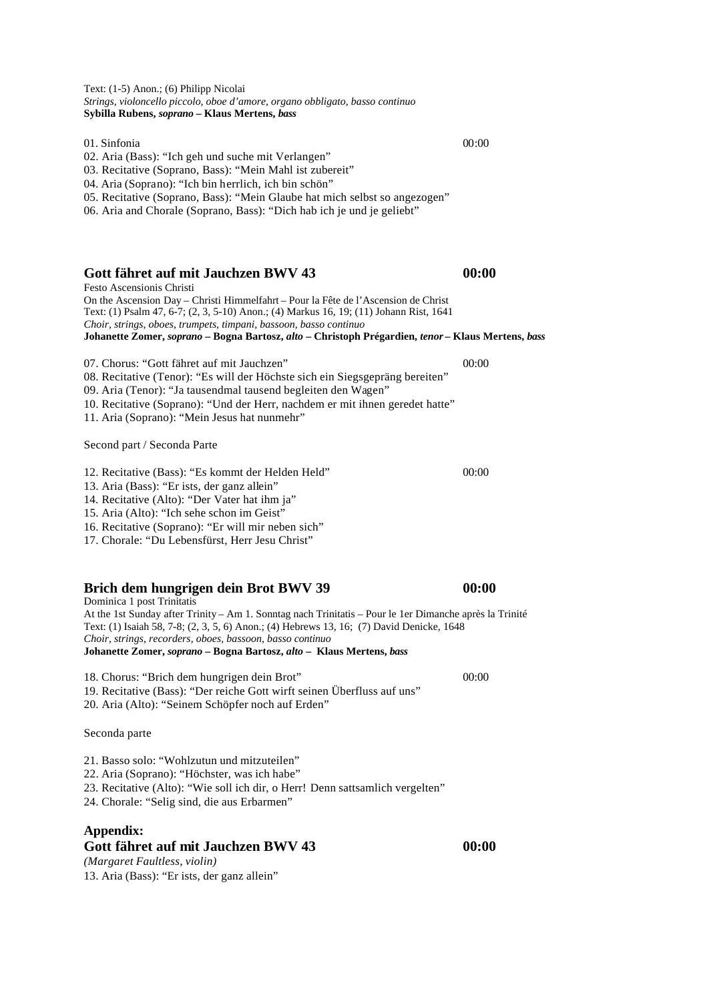Text: (1-5) Anon.; (6) Philipp Nicolai *Strings, violoncello piccolo, oboe d'amore, organo obbligato, basso continuo*  **Sybilla Rubens,** *soprano* **– Klaus Mertens,** *bass*

01. Sinfonia 00:00

02. Aria (Bass): "Ich geh und suche mit Verlangen"

- 03. Recitative (Soprano, Bass): "Mein Mahl ist zubereit"
- 04. Aria (Soprano): "Ich bin herrlich, ich bin schön"
- 05. Recitative (Soprano, Bass): "Mein Glaube hat mich selbst so angezogen"

06. Aria and Chorale (Soprano, Bass): "Dich hab ich je und je geliebt"

#### **Gott fähret auf mit Jauchzen BWV 43 00:00**

Festo Ascensionis Christi On the Ascension Day – Christi Himmelfahrt – Pour la Fête de l'Ascension de Christ Text: (1) Psalm 47, 6-7; (2, 3, 5-10) Anon.; (4) Markus 16, 19; (11) Johann Rist, 1641 *Choir, strings, oboes, trumpets, timpani, bassoon, basso continuo* **Johanette Zomer,** *soprano* **– Bogna Bartosz,** *alto* **– Christoph Prégardien,** *tenor* **– Klaus Mertens,** *bass*

07. Chorus: "Gott fähret auf mit Jauchzen" 00:00 08. Recitative (Tenor): "Es will der Höchste sich ein Siegsgepräng bereiten" 09. Aria (Tenor): "Ja tausendmal tausend begleiten den Wagen" 10. Recitative (Soprano): "Und der Herr, nachdem er mit ihnen geredet hatte"

11. Aria (Soprano): "Mein Jesus hat nunmehr"

Second part / Seconda Parte

- 12. Recitative (Bass): "Es kommt der Helden Held" 00:00
- 13. Aria (Bass): "Er ists, der ganz allein"
- 14. Recitative (Alto): "Der Vater hat ihm ja"
- 15. Aria (Alto): "Ich sehe schon im Geist"
- 16. Recitative (Soprano): "Er will mir neben sich"

17. Chorale: "Du Lebensfürst, Herr Jesu Christ"

#### **Brich dem hungrigen dein Brot BWV 39 00:00**

Dominica 1 post Trinitatis At the 1st Sunday after Trinity – Am 1. Sonntag nach Trinitatis – Pour le 1er Dimanche après la Trinité Text: (1) Isaiah 58, 7-8; (2, 3, 5, 6) Anon.; (4) Hebrews 13, 16; (7) David Denicke, 1648 *Choir, strings, recorders, oboes, bassoon, basso continuo* **Johanette Zomer,** *soprano* **– Bogna Bartosz,** *alto* **– Klaus Mertens,** *bass*

18. Chorus: "Brich dem hungrigen dein Brot" 00:00

- 19. Recitative (Bass): "Der reiche Gott wirft seinen Überfluss auf uns"
- 20. Aria (Alto): "Seinem Schöpfer noch auf Erden"

Seconda parte

- 21. Basso solo: "Wohlzutun und mitzuteilen"
- 22. Aria (Soprano): "Höchster, was ich habe"
- 23. Recitative (Alto): "Wie soll ich dir, o Herr! Denn sattsamlich vergelten"
- 24. Chorale: "Selig sind, die aus Erbarmen"

#### **Appendix: Gott fähret auf mit Jauchzen BWV 43 00:00**

*(Margaret Faultless, violin)* 13. Aria (Bass): "Er ists, der ganz allein"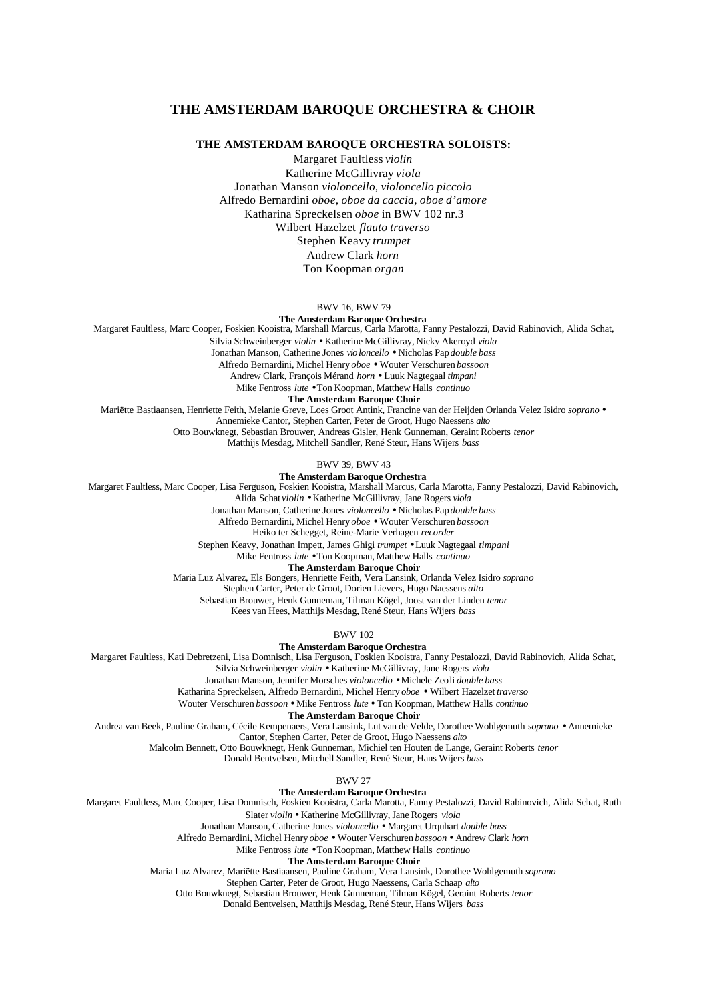#### **THE AMSTERDAM BAROQUE ORCHESTRA & CHOIR**

#### **THE AMSTERDAM BAROQUE ORCHESTRA SOLOISTS:**

Margaret Faultless *violin* Katherine McGillivray *viola* Jonathan Manson *violoncello, violoncello piccolo* Alfredo Bernardini *oboe, oboe da caccia, oboe d'amore* Katharina Spreckelsen *oboe* in BWV 102 nr.3 Wilbert Hazelzet *flauto traverso* Stephen Keavy *trumpet* Andrew Clark *horn* Ton Koopman *organ*

BWV 16, BWV 79

**The Amsterdam Baroque Orchestra**

Margaret Faultless, Marc Cooper, Foskien Kooistra, Marshall Marcus, Carla Marotta, Fanny Pestalozzi, David Rabinovich, Alida Schat,

Silvia Schweinberger *violin* • Katherine McGillivray, Nicky Akeroyd *viola*

Jonathan Manson, Catherine Jones *violoncello* • Nicholas Pap *double bass*

Alfredo Bernardini, Michel Henry *oboe* • Wouter Verschuren *bassoon*

Andrew Clark, François Mérand *horn* • Luuk Nagtegaal *timpani*

Mike Fentross *lute* • Ton Koopman, Matthew Halls *continuo*

**The Amsterdam Baroque Choir**

Mariëtte Bastiaansen, Henriette Feith, Melanie Greve, Loes Groot Antink, Francine van der Heijden Orlanda Velez Isidro *soprano* •

Annemieke Cantor, Stephen Carter, Peter de Groot, Hugo Naessens *alto*

Otto Bouwknegt, Sebastian Brouwer, Andreas Gisler, Henk Gunneman, Geraint Roberts *tenor*

Matthijs Mesdag, Mitchell Sandler, René Steur, Hans Wijers *bass*

BWV 39, BWV 43

**The Amsterdam Baroque Orchestra**

Margaret Faultless, Marc Cooper, Lisa Ferguson, Foskien Kooistra, Marshall Marcus, Carla Marotta, Fanny Pestalozzi, David Rabinovich,

Alida Schat *violin* • Katherine McGillivray, Jane Rogers *viola*

Jonathan Manson, Catherine Jones *violoncello* • Nicholas Pap *double bass*

Alfredo Bernardini, Michel Henry *oboe* • Wouter Verschuren *bassoon*

Heiko ter Schegget, Reine-Marie Verhagen *recorder*

Stephen Keavy, Jonathan Impett, James Ghigi *trumpet* • Luuk Nagtegaal *timpani*

Mike Fentross *lute* • Ton Koopman, Matthew Halls *continuo*

**The Amsterdam Baroque Choir**

Maria Luz Alvarez, Els Bongers, Henriette Feith, Vera Lansink, Orlanda Velez Isidro *soprano*

Stephen Carter, Peter de Groot, Dorien Lievers, Hugo Naessens *alto*

Sebastian Brouwer, Henk Gunneman, Tilman Kögel, Joost van der Linden *tenor*

Kees van Hees, Matthijs Mesdag, René Steur, Hans Wijers *bass*

BWV 102

**The Amsterdam Baroque Orchestra**

Margaret Faultless, Kati Debretzeni, Lisa Domnisch, Lisa Ferguson, Foskien Kooistra, Fanny Pestalozzi, David Rabinovich, Alida Schat,

Silvia Schweinberger *violin* • Katherine McGillivray, Jane Rogers *viola*

Jonathan Manson, Jennifer Morsches *violoncello* • Michele Zeoli *double bass*

Katharina Spreckelsen, Alfredo Bernardini, Michel Henry *oboe* • Wilbert Hazelzet *traverso*

Wouter Verschuren *bassoon* • Mike Fentross *lute* • Ton Koopman, Matthew Halls *continuo*

**The Amsterdam Baroque Choir**

Andrea van Beek, Pauline Graham, Cécile Kempenaers, Vera Lansink, Lut van de Velde, Dorothee Wohlgemuth *soprano* • Annemieke

Cantor, Stephen Carter, Peter de Groot, Hugo Naessens *alto*

Malcolm Bennett, Otto Bouwknegt, Henk Gunneman, Michiel ten Houten de Lange, Geraint Roberts *tenor*

Donald Bentvelsen, Mitchell Sandler, René Steur, Hans Wijers *bass*

BWV 27

**The Amsterdam Baroque Orchestra**

Margaret Faultless, Marc Cooper, Lisa Domnisch, Foskien Kooistra, Carla Marotta, Fanny Pestalozzi, David Rabinovich, Alida Schat, Ruth

Slater *violin* • Katherine McGillivray, Jane Rogers *viola*

Jonathan Manson, Catherine Jones *violoncello* • Margaret Urquhart *double bass*

Alfredo Bernardini, Michel Henry *oboe* • Wouter Verschuren *bassoon* • Andrew Clark *horn*

Mike Fentross *lute* • Ton Koopman, Matthew Halls *continuo*

**The Amsterdam Baroque Choir**

Maria Luz Alvarez, Mariëtte Bastiaansen, Pauline Graham, Vera Lansink, Dorothee Wohlgemuth *soprano*

Stephen Carter, Peter de Groot, Hugo Naessens, Carla Schaap *alto*

Otto Bouwknegt, Sebastian Brouwer, Henk Gunneman, Tilman Kögel, Geraint Roberts *tenor*

Donald Bentvelsen, Matthijs Mesdag, René Steur, Hans Wijers *bass*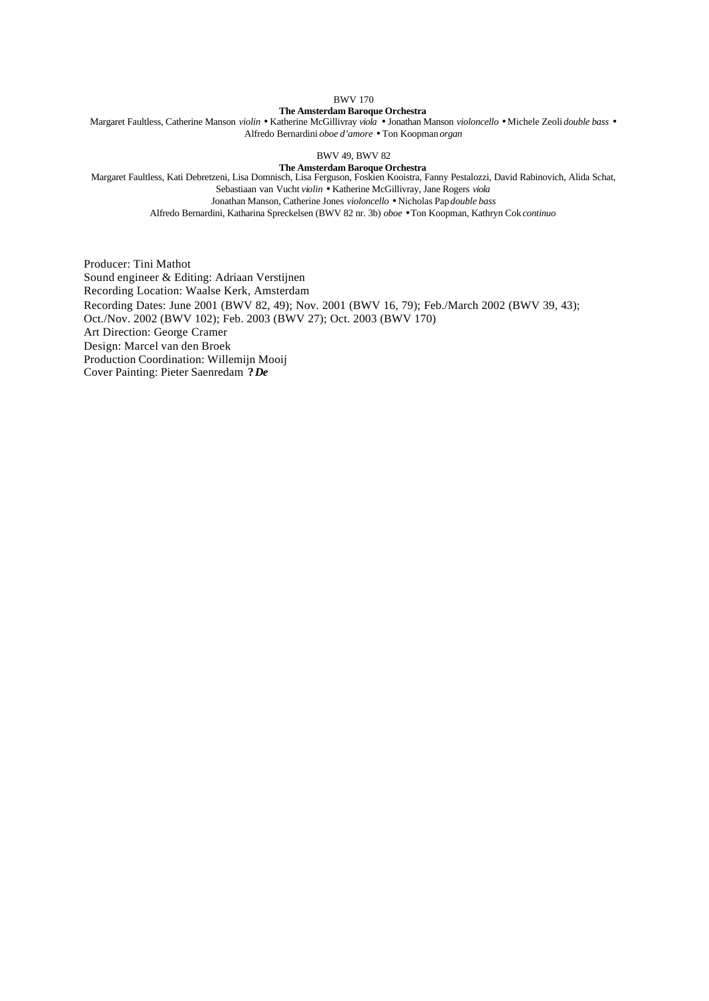BWV 170

#### **The Amsterdam Baroque Orchestra**

Margaret Faultless, Catherine Manson *violin* • Katherine McGillivray *viola* • Jonathan Manson *violoncello* • Michele Zeoli *double bass* • Alfredo Bernardini *oboe d'amore* • Ton Koopman *organ*

BWV 49, BWV 82

#### **The Amsterdam Baroque Orchestra**

Margaret Faultless, Kati Debretzeni, Lisa Domnisch, Lisa Ferguson, Foskien Kooistra, Fanny Pestalozzi, David Rabinovich, Alida Schat, Sebastiaan van Vucht *violin* • Katherine McGillivray, Jane Rogers *viola*

Jonathan Manson, Catherine Jones *violoncello* • Nicholas Pap *double bass*

Alfredo Bernardini, Katharina Spreckelsen (BWV 82 nr. 3b) *oboe* • Ton Koopman, Kathryn Cok *continuo*

Producer: Tini Mathot Sound engineer & Editing: Adriaan Verstijnen Recording Location: Waalse Kerk, Amsterdam Recording Dates: June 2001 (BWV 82, 49); Nov. 2001 (BWV 16, 79); Feb./March 2002 (BWV 39, 43); Oct./Nov. 2002 (BWV 102); Feb. 2003 (BWV 27); Oct. 2003 (BWV 170) Art Direction: George Cramer Design: Marcel van den Broek Production Coordination: Willemijn Mooij Cover Painting: Pieter Saenredam **?** *De*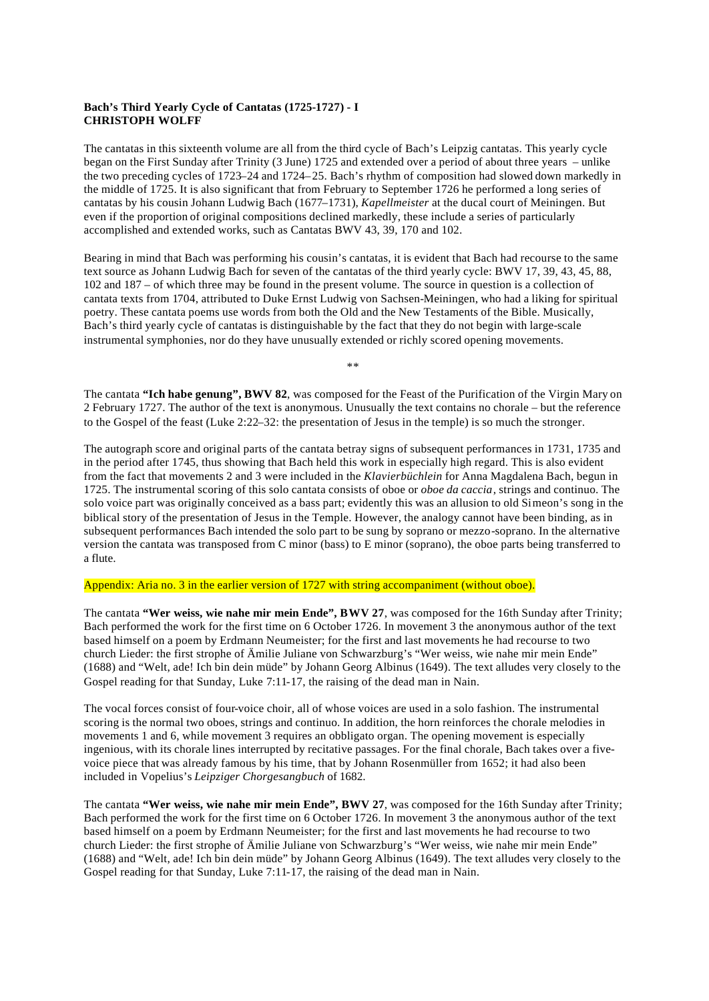#### **Bach's Third Yearly Cycle of Cantatas (1725-1727) - I CHRISTOPH WOLFF**

The cantatas in this sixteenth volume are all from the third cycle of Bach's Leipzig cantatas. This yearly cycle began on the First Sunday after Trinity (3 June) 1725 and extended over a period of about three years – unlike the two preceding cycles of 1723–24 and 1724–25. Bach's rhythm of composition had slowed down markedly in the middle of 1725. It is also significant that from February to September 1726 he performed a long series of cantatas by his cousin Johann Ludwig Bach (1677–1731), *Kapellmeister* at the ducal court of Meiningen. But even if the proportion of original compositions declined markedly, these include a series of particularly accomplished and extended works, such as Cantatas BWV 43, 39, 170 and 102.

Bearing in mind that Bach was performing his cousin's cantatas, it is evident that Bach had recourse to the same text source as Johann Ludwig Bach for seven of the cantatas of the third yearly cycle: BWV 17, 39, 43, 45, 88, 102 and 187 – of which three may be found in the present volume. The source in question is a collection of cantata texts from 1704, attributed to Duke Ernst Ludwig von Sachsen-Meiningen, who had a liking for spiritual poetry. These cantata poems use words from both the Old and the New Testaments of the Bible. Musically, Bach's third yearly cycle of cantatas is distinguishable by the fact that they do not begin with large-scale instrumental symphonies, nor do they have unusually extended or richly scored opening movements.

The cantata **"Ich habe genung", BWV 82**, was composed for the Feast of the Purification of the Virgin Mary on 2 February 1727. The author of the text is anonymous. Unusually the text contains no chorale – but the reference to the Gospel of the feast (Luke 2:22–32: the presentation of Jesus in the temple) is so much the stronger.

\*\*

The autograph score and original parts of the cantata betray signs of subsequent performances in 1731, 1735 and in the period after 1745, thus showing that Bach held this work in especially high regard. This is also evident from the fact that movements 2 and 3 were included in the *Klavierbüchlein* for Anna Magdalena Bach, begun in 1725. The instrumental scoring of this solo cantata consists of oboe or *oboe da caccia*, strings and continuo. The solo voice part was originally conceived as a bass part; evidently this was an allusion to old Simeon's song in the biblical story of the presentation of Jesus in the Temple. However, the analogy cannot have been binding, as in subsequent performances Bach intended the solo part to be sung by soprano or mezzo-soprano. In the alternative version the cantata was transposed from C minor (bass) to E minor (soprano), the oboe parts being transferred to a flute.

#### Appendix: Aria no. 3 in the earlier version of 1727 with string accompaniment (without oboe).

The cantata **"Wer weiss, wie nahe mir mein Ende", BWV 27**, was composed for the 16th Sunday after Trinity; Bach performed the work for the first time on 6 October 1726. In movement 3 the anonymous author of the text based himself on a poem by Erdmann Neumeister; for the first and last movements he had recourse to two church Lieder: the first strophe of Ämilie Juliane von Schwarzburg's "Wer weiss, wie nahe mir mein Ende" (1688) and "Welt, ade! Ich bin dein müde" by Johann Georg Albinus (1649). The text alludes very closely to the Gospel reading for that Sunday, Luke 7:11-17, the raising of the dead man in Nain.

The vocal forces consist of four-voice choir, all of whose voices are used in a solo fashion. The instrumental scoring is the normal two oboes, strings and continuo. In addition, the horn reinforces the chorale melodies in movements 1 and 6, while movement 3 requires an obbligato organ. The opening movement is especially ingenious, with its chorale lines interrupted by recitative passages. For the final chorale, Bach takes over a fivevoice piece that was already famous by his time, that by Johann Rosenmüller from 1652; it had also been included in Vopelius's *Leipziger Chorgesangbuch* of 1682.

The cantata **"Wer weiss, wie nahe mir mein Ende", BWV 27**, was composed for the 16th Sunday after Trinity; Bach performed the work for the first time on 6 October 1726. In movement 3 the anonymous author of the text based himself on a poem by Erdmann Neumeister; for the first and last movements he had recourse to two church Lieder: the first strophe of Ämilie Juliane von Schwarzburg's "Wer weiss, wie nahe mir mein Ende" (1688) and "Welt, ade! Ich bin dein müde" by Johann Georg Albinus (1649). The text alludes very closely to the Gospel reading for that Sunday, Luke 7:11-17, the raising of the dead man in Nain.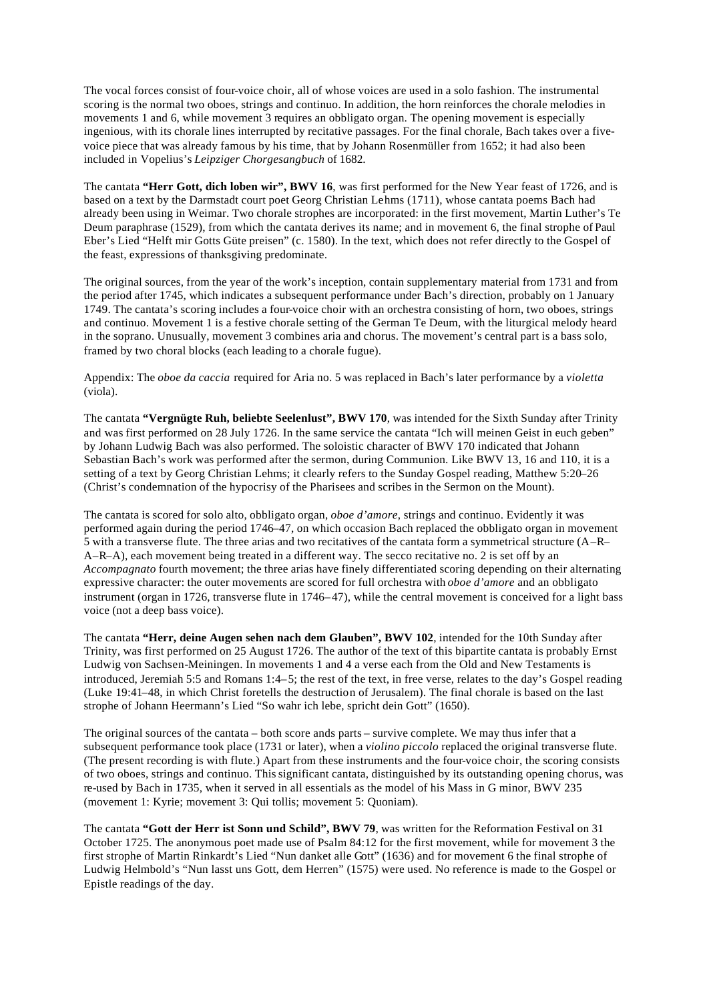The vocal forces consist of four-voice choir, all of whose voices are used in a solo fashion. The instrumental scoring is the normal two oboes, strings and continuo. In addition, the horn reinforces the chorale melodies in movements 1 and 6, while movement 3 requires an obbligato organ. The opening movement is especially ingenious, with its chorale lines interrupted by recitative passages. For the final chorale, Bach takes over a fivevoice piece that was already famous by his time, that by Johann Rosenmüller from 1652; it had also been included in Vopelius's *Leipziger Chorgesangbuch* of 1682.

The cantata **"Herr Gott, dich loben wir", BWV 16**, was first performed for the New Year feast of 1726, and is based on a text by the Darmstadt court poet Georg Christian Lehms (1711), whose cantata poems Bach had already been using in Weimar. Two chorale strophes are incorporated: in the first movement, Martin Luther's Te Deum paraphrase (1529), from which the cantata derives its name; and in movement 6, the final strophe of Paul Eber's Lied "Helft mir Gotts Güte preisen" (c. 1580). In the text, which does not refer directly to the Gospel of the feast, expressions of thanksgiving predominate.

The original sources, from the year of the work's inception, contain supplementary material from 1731 and from the period after 1745, which indicates a subsequent performance under Bach's direction, probably on 1 January 1749. The cantata's scoring includes a four-voice choir with an orchestra consisting of horn, two oboes, strings and continuo. Movement 1 is a festive chorale setting of the German Te Deum, with the liturgical melody heard in the soprano. Unusually, movement 3 combines aria and chorus. The movement's central part is a bass solo, framed by two choral blocks (each leading to a chorale fugue).

Appendix: The *oboe da caccia* required for Aria no. 5 was replaced in Bach's later performance by a *violetta* (viola).

The cantata **"Vergnügte Ruh, beliebte Seelenlust", BWV 170**, was intended for the Sixth Sunday after Trinity and was first performed on 28 July 1726. In the same service the cantata "Ich will meinen Geist in euch geben" by Johann Ludwig Bach was also performed. The soloistic character of BWV 170 indicated that Johann Sebastian Bach's work was performed after the sermon, during Communion. Like BWV 13, 16 and 110, it is a setting of a text by Georg Christian Lehms; it clearly refers to the Sunday Gospel reading, Matthew 5:20–26 (Christ's condemnation of the hypocrisy of the Pharisees and scribes in the Sermon on the Mount).

The cantata is scored for solo alto, obbligato organ, *oboe d'amore*, strings and continuo. Evidently it was performed again during the period 1746–47, on which occasion Bach replaced the obbligato organ in movement 5 with a transverse flute. The three arias and two recitatives of the cantata form a symmetrical structure (A–R– A–R–A), each movement being treated in a different way. The secco recitative no. 2 is set off by an *Accompagnato* fourth movement; the three arias have finely differentiated scoring depending on their alternating expressive character: the outer movements are scored for full orchestra with *oboe d'amore* and an obbligato instrument (organ in 1726, transverse flute in 1746–47), while the central movement is conceived for a light bass voice (not a deep bass voice).

The cantata **"Herr, deine Augen sehen nach dem Glauben", BWV 102**, intended for the 10th Sunday after Trinity, was first performed on 25 August 1726. The author of the text of this bipartite cantata is probably Ernst Ludwig von Sachsen-Meiningen. In movements 1 and 4 a verse each from the Old and New Testaments is introduced, Jeremiah 5:5 and Romans 1:4–5; the rest of the text, in free verse, relates to the day's Gospel reading (Luke 19:41–48, in which Christ foretells the destruction of Jerusalem). The final chorale is based on the last strophe of Johann Heermann's Lied "So wahr ich lebe, spricht dein Gott" (1650).

The original sources of the cantata – both score ands parts – survive complete. We may thus infer that a subsequent performance took place (1731 or later), when a *violino piccolo* replaced the original transverse flute. (The present recording is with flute.) Apart from these instruments and the four-voice choir, the scoring consists of two oboes, strings and continuo. This significant cantata, distinguished by its outstanding opening chorus, was re-used by Bach in 1735, when it served in all essentials as the model of his Mass in G minor, BWV 235 (movement 1: Kyrie; movement 3: Qui tollis; movement 5: Quoniam).

The cantata **"Gott der Herr ist Sonn und Schild", BWV 79**, was written for the Reformation Festival on 31 October 1725. The anonymous poet made use of Psalm 84:12 for the first movement, while for movement 3 the first strophe of Martin Rinkardt's Lied "Nun danket alle Gott" (1636) and for movement 6 the final strophe of Ludwig Helmbold's "Nun lasst uns Gott, dem Herren" (1575) were used. No reference is made to the Gospel or Epistle readings of the day.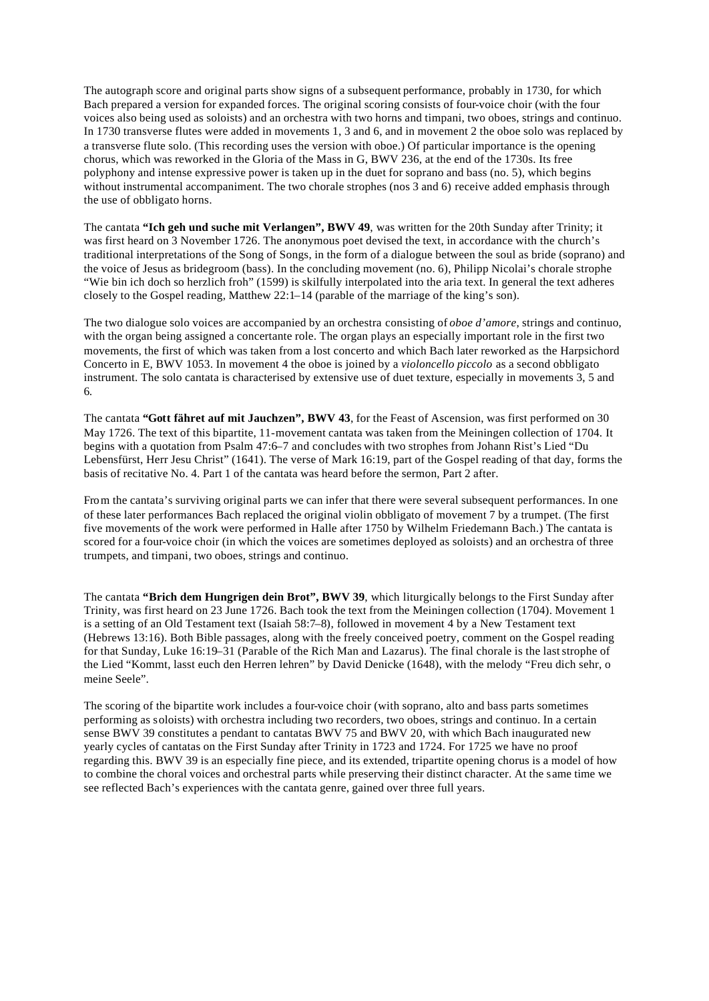The autograph score and original parts show signs of a subsequent performance, probably in 1730, for which Bach prepared a version for expanded forces. The original scoring consists of four-voice choir (with the four voices also being used as soloists) and an orchestra with two horns and timpani, two oboes, strings and continuo. In 1730 transverse flutes were added in movements 1, 3 and 6, and in movement 2 the oboe solo was replaced by a transverse flute solo. (This recording uses the version with oboe.) Of particular importance is the opening chorus, which was reworked in the Gloria of the Mass in G, BWV 236, at the end of the 1730s. Its free polyphony and intense expressive power is taken up in the duet for soprano and bass (no. 5), which begins without instrumental accompaniment. The two chorale strophes (nos 3 and 6) receive added emphasis through the use of obbligato horns.

The cantata **"Ich geh und suche mit Verlangen", BWV 49**, was written for the 20th Sunday after Trinity; it was first heard on 3 November 1726. The anonymous poet devised the text, in accordance with the church's traditional interpretations of the Song of Songs, in the form of a dialogue between the soul as bride (soprano) and the voice of Jesus as bridegroom (bass). In the concluding movement (no. 6), Philipp Nicolai's chorale strophe "Wie bin ich doch so herzlich froh" (1599) is skilfully interpolated into the aria text. In general the text adheres closely to the Gospel reading, Matthew 22:1–14 (parable of the marriage of the king's son).

The two dialogue solo voices are accompanied by an orchestra consisting of *oboe d'amore*, strings and continuo, with the organ being assigned a concertante role. The organ plays an especially important role in the first two movements, the first of which was taken from a lost concerto and which Bach later reworked as the Harpsichord Concerto in E, BWV 1053. In movement 4 the oboe is joined by a *violoncello piccolo* as a second obbligato instrument. The solo cantata is characterised by extensive use of duet texture, especially in movements 3, 5 and 6.

The cantata **"Gott fähret auf mit Jauchzen", BWV 43**, for the Feast of Ascension, was first performed on 30 May 1726. The text of this bipartite, 11-movement cantata was taken from the Meiningen collection of 1704. It begins with a quotation from Psalm 47:6–7 and concludes with two strophes from Johann Rist's Lied "Du Lebensfürst, Herr Jesu Christ" (1641). The verse of Mark 16:19, part of the Gospel reading of that day, forms the basis of recitative No. 4. Part 1 of the cantata was heard before the sermon, Part 2 after.

From the cantata's surviving original parts we can infer that there were several subsequent performances. In one of these later performances Bach replaced the original violin obbligato of movement 7 by a trumpet. (The first five movements of the work were performed in Halle after 1750 by Wilhelm Friedemann Bach.) The cantata is scored for a four-voice choir (in which the voices are sometimes deployed as soloists) and an orchestra of three trumpets, and timpani, two oboes, strings and continuo.

The cantata **"Brich dem Hungrigen dein Brot", BWV 39**, which liturgically belongs to the First Sunday after Trinity, was first heard on 23 June 1726. Bach took the text from the Meiningen collection (1704). Movement 1 is a setting of an Old Testament text (Isaiah 58:7–8), followed in movement 4 by a New Testament text (Hebrews 13:16). Both Bible passages, along with the freely conceived poetry, comment on the Gospel reading for that Sunday, Luke 16:19–31 (Parable of the Rich Man and Lazarus). The final chorale is the last strophe of the Lied "Kommt, lasst euch den Herren lehren" by David Denicke (1648), with the melody "Freu dich sehr, o meine Seele".

The scoring of the bipartite work includes a four-voice choir (with soprano, alto and bass parts sometimes performing as soloists) with orchestra including two recorders, two oboes, strings and continuo. In a certain sense BWV 39 constitutes a pendant to cantatas BWV 75 and BWV 20, with which Bach inaugurated new yearly cycles of cantatas on the First Sunday after Trinity in 1723 and 1724. For 1725 we have no proof regarding this. BWV 39 is an especially fine piece, and its extended, tripartite opening chorus is a model of how to combine the choral voices and orchestral parts while preserving their distinct character. At the same time we see reflected Bach's experiences with the cantata genre, gained over three full years.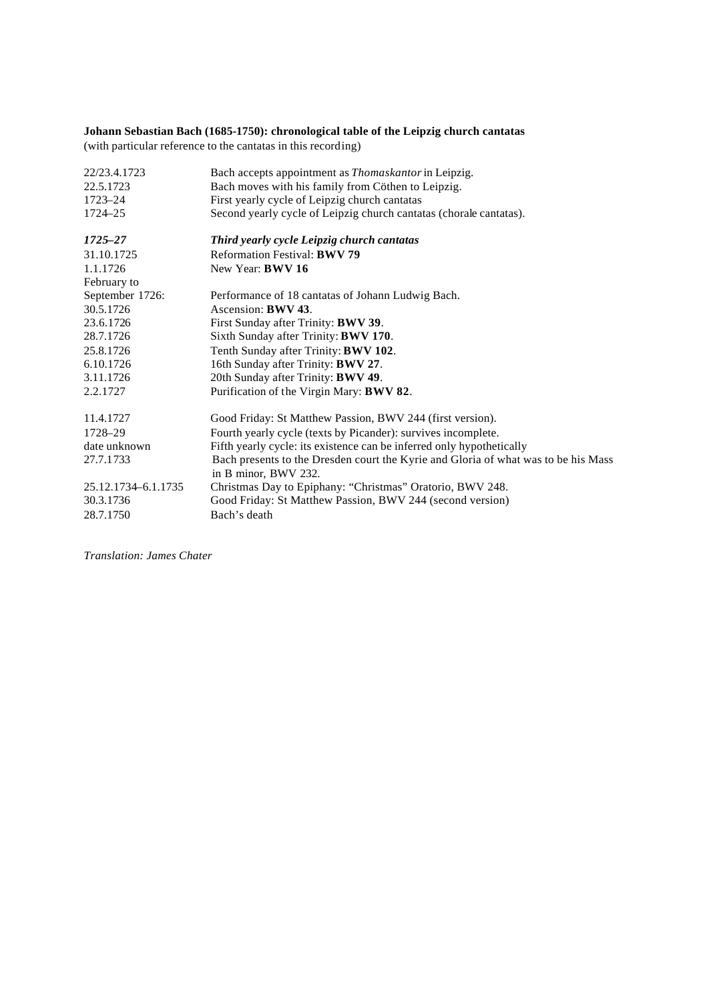# **Johann Sebastian Bach (1685-1750): chronological table of the Leipzig church cantatas**

(with particular reference to the cantatas in this recording)

| 22/23.4.1723        | Bach accepts appointment as Thomaskantor in Leipzig.                                                       |
|---------------------|------------------------------------------------------------------------------------------------------------|
| 22.5.1723           | Bach moves with his family from Cöthen to Leipzig.                                                         |
| 1723–24             | First yearly cycle of Leipzig church cantatas                                                              |
| 1724–25             | Second yearly cycle of Leipzig church cantatas (chorale cantatas).                                         |
|                     |                                                                                                            |
| 1725–27             | Third yearly cycle Leipzig church cantatas                                                                 |
| 31.10.1725          | <b>Reformation Festival: BWV 79</b>                                                                        |
| 1.1.1726            | New Year: <b>BWV 16</b>                                                                                    |
| February to         |                                                                                                            |
| September 1726:     | Performance of 18 cantatas of Johann Ludwig Bach.                                                          |
| 30.5.1726           | Ascension: <b>BWV 43</b> .                                                                                 |
| 23.6.1726           | First Sunday after Trinity: <b>BWV 39</b> .                                                                |
| 28.7.1726           | Sixth Sunday after Trinity: <b>BWV 170</b> .                                                               |
| 25.8.1726           | Tenth Sunday after Trinity: BWV 102.                                                                       |
| 6.10.1726           | 16th Sunday after Trinity: BWV 27.                                                                         |
| 3.11.1726           | 20th Sunday after Trinity: BWV 49.                                                                         |
| 2.2.1727            | Purification of the Virgin Mary: BWV 82.                                                                   |
| 11.4.1727           | Good Friday: St Matthew Passion, BWV 244 (first version).                                                  |
| 1728-29             |                                                                                                            |
|                     | Fourth yearly cycle (texts by Picander): survives incomplete.                                              |
| date unknown        | Fifth yearly cycle: its existence can be inferred only hypothetically                                      |
| 27.7.1733           | Bach presents to the Dresden court the Kyrie and Gloria of what was to be his Mass<br>in B minor, BWV 232. |
| 25.12.1734-6.1.1735 | Christmas Day to Epiphany: "Christmas" Oratorio, BWV 248.                                                  |
| 30.3.1736           | Good Friday: St Matthew Passion, BWV 244 (second version)                                                  |
| 28.7.1750           | Bach's death                                                                                               |
|                     |                                                                                                            |

*Translation: James Chater*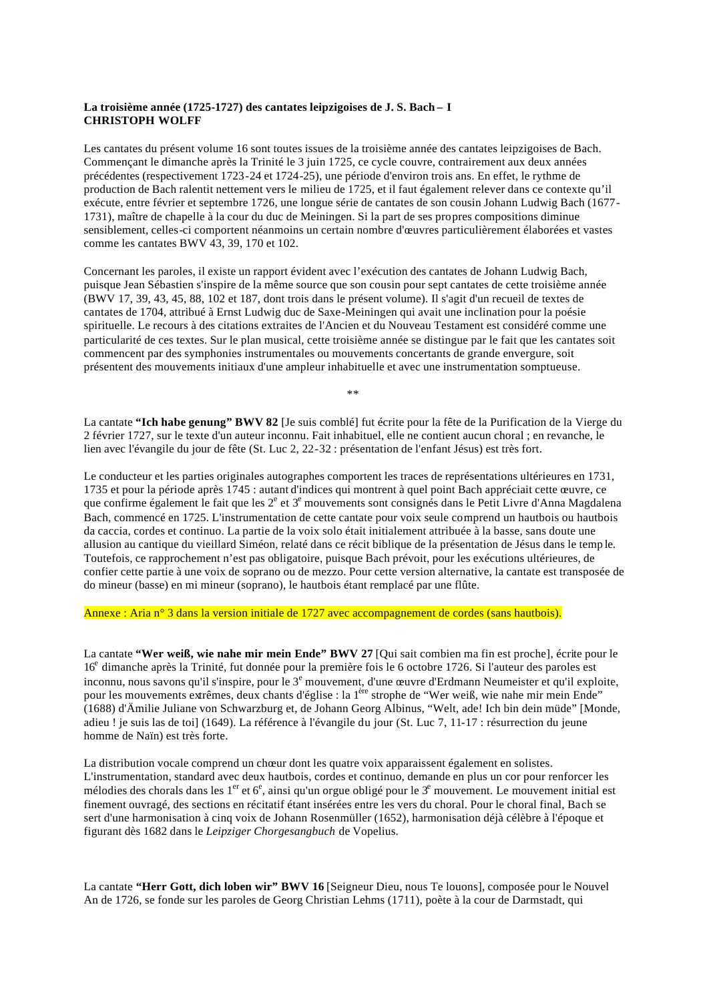#### **La troisième année (1725-1727) des cantates leipzigoises de J. S. Bach – I CHRISTOPH WOLFF**

Les cantates du présent volume 16 sont toutes issues de la troisième année des cantates leipzigoises de Bach. Commençant le dimanche après la Trinité le 3 juin 1725, ce cycle couvre, contrairement aux deux années précédentes (respectivement 1723-24 et 1724-25), une période d'environ trois ans. En effet, le rythme de production de Bach ralentit nettement vers le milieu de 1725, et il faut également relever dans ce contexte qu'il exécute, entre février et septembre 1726, une longue série de cantates de son cousin Johann Ludwig Bach (1677- 1731), maître de chapelle à la cour du duc de Meiningen. Si la part de ses propres compositions diminue sensiblement, celles-ci comportent néanmoins un certain nombre d'œuvres particulièrement élaborées et vastes comme les cantates BWV 43, 39, 170 et 102.

Concernant les paroles, il existe un rapport évident avec l'exécution des cantates de Johann Ludwig Bach, puisque Jean Sébastien s'inspire de la même source que son cousin pour sept cantates de cette troisième année (BWV 17, 39, 43, 45, 88, 102 et 187, dont trois dans le présent volume). Il s'agit d'un recueil de textes de cantates de 1704, attribué à Ernst Ludwig duc de Saxe-Meiningen qui avait une inclination pour la poésie spirituelle. Le recours à des citations extraites de l'Ancien et du Nouveau Testament est considéré comme une particularité de ces textes. Sur le plan musical, cette troisième année se distingue par le fait que les cantates soit commencent par des symphonies instrumentales ou mouvements concertants de grande envergure, soit présentent des mouvements initiaux d'une ampleur inhabituelle et avec une instrumentation somptueuse.

\*\*

La cantate **"Ich habe genung" BWV 82** [Je suis comblé] fut écrite pour la fête de la Purification de la Vierge du 2 février 1727, sur le texte d'un auteur inconnu. Fait inhabituel, elle ne contient aucun choral ; en revanche, le lien avec l'évangile du jour de fête (St. Luc 2, 22-32 : présentation de l'enfant Jésus) est très fort.

Le conducteur et les parties originales autographes comportent les traces de représentations ultérieures en 1731, 1735 et pour la période après 1745 : autant d'indices qui montrent à quel point Bach appréciait cette œuvre, ce que confirme également le fait que les  $2^e$  et  $3^e$  mouvements sont consignés dans le Petit Livre d'Anna Magdalena Bach, commencé en 1725. L'instrumentation de cette cantate pour voix seule comprend un hautbois ou hautbois da caccia, cordes et continuo. La partie de la voix solo était initialement attribuée à la basse, sans doute une allusion au cantique du vieillard Siméon, relaté dans ce récit biblique de la présentation de Jésus dans le temp le. Toutefois, ce rapprochement n'est pas obligatoire, puisque Bach prévoit, pour les exécutions ultérieures, de confier cette partie à une voix de soprano ou de mezzo. Pour cette version alternative, la cantate est transposée de do mineur (basse) en mi mineur (soprano), le hautbois étant remplacé par une flûte.

Annexe : Aria n° 3 dans la version initiale de 1727 avec accompagnement de cordes (sans hautbois).

La cantate **"Wer weiß, wie nahe mir mein Ende" BWV 27** [Qui sait combien ma fin est proche], écrite pour le 16<sup>e</sup> dimanche après la Trinité, fut donnée pour la première fois le 6 octobre 1726. Si l'auteur des paroles est inconnu, nous savons qu'il s'inspire, pour le 3<sup>e</sup> mouvement, d'une œuvre d'Erdmann Neumeister et qu'il exploite, pour les mouvements extrêmes, deux chants d'église : la 1<sup>ère</sup> strophe de "Wer weiß, wie nahe mir mein Ende" (1688) d'Ämilie Juliane von Schwarzburg et, de Johann Georg Albinus, "Welt, ade! Ich bin dein müde" [Monde, adieu ! je suis las de toi] (1649). La référence à l'évangile du jour (St. Luc 7, 11-17 : résurrection du jeune homme de Naïn) est très forte.

La distribution vocale comprend un chœur dont les quatre voix apparaissent également en solistes. L'instrumentation, standard avec deux hautbois, cordes et continuo, demande en plus un cor pour renforcer les mélodies des chorals dans les  $1<sup>er</sup>$  et  $6<sup>e</sup>$ , ainsi qu'un orgue obligé pour le  $3<sup>e</sup>$  mouvement. Le mouvement initial est finement ouvragé, des sections en récitatif étant insérées entre les vers du choral. Pour le choral final, Bach se sert d'une harmonisation à cinq voix de Johann Rosenmüller (1652), harmonisation déjà célèbre à l'époque et figurant dès 1682 dans le *Leipziger Chorgesangbuch* de Vopelius.

La cantate **"Herr Gott, dich loben wir" BWV 16** [Seigneur Dieu, nous Te louons], composée pour le Nouvel An de 1726, se fonde sur les paroles de Georg Christian Lehms (1711), poète à la cour de Darmstadt, qui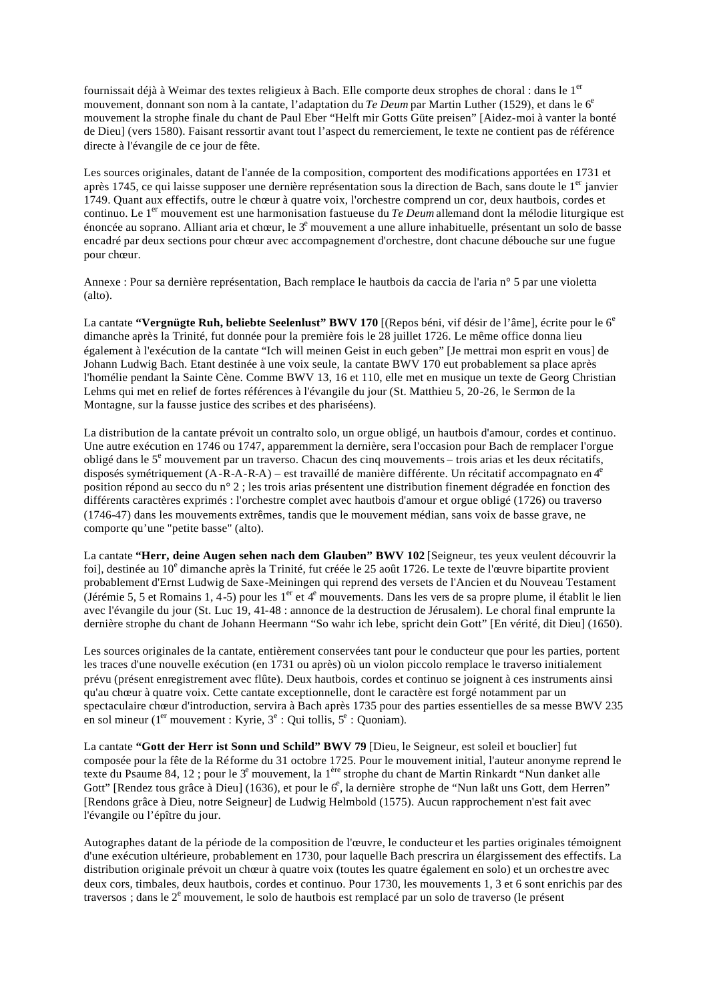fournissait déjà à Weimar des textes religieux à Bach. Elle comporte deux strophes de choral : dans le 1<sup>er</sup> mouvement, donnant son nom à la cantate, l'adaptation du *Te Deum* par Martin Luther (1529), et dans le 6<sup>e</sup> mouvement la strophe finale du chant de Paul Eber "Helft mir Gotts Güte preisen" [Aidez-moi à vanter la bonté de Dieu] (vers 1580). Faisant ressortir avant tout l'aspect du remerciement, le texte ne contient pas de référence directe à l'évangile de ce jour de fête.

Les sources originales, datant de l'année de la composition, comportent des modifications apportées en 1731 et après 1745, ce qui laisse supposer une dernière représentation sous la direction de Bach, sans doute le 1<sup>er</sup> janvier 1749. Quant aux effectifs, outre le chœur à quatre voix, l'orchestre comprend un cor, deux hautbois, cordes et continuo. Le 1<sup>er</sup> mouvement est une harmonisation fastueuse du *Te Deum* allemand dont la mélodie liturgique est énoncée au soprano. Alliant aria et chœur, le 3<sup>e</sup> mouvement a une allure inhabituelle, présentant un solo de basse encadré par deux sections pour chœur avec accompagnement d'orchestre, dont chacune débouche sur une fugue pour chœur.

Annexe : Pour sa dernière représentation, Bach remplace le hautbois da caccia de l'aria n° 5 par une violetta (alto).

La cantate "Vergnügte Ruh, beliebte Seelenlust" BWV 170 [(Repos béni, vif désir de l'âme], écrite pour le 6<sup>e</sup> dimanche après la Trinité, fut donnée pour la première fois le 28 juillet 1726. Le même office donna lieu également à l'exécution de la cantate "Ich will meinen Geist in euch geben" [Je mettrai mon esprit en vous] de Johann Ludwig Bach. Etant destinée à une voix seule, la cantate BWV 170 eut probablement sa place après l'homélie pendant la Sainte Cène. Comme BWV 13, 16 et 110, elle met en musique un texte de Georg Christian Lehms qui met en relief de fortes références à l'évangile du jour (St. Matthieu 5, 20-26, le Sermon de la Montagne, sur la fausse justice des scribes et des phariséens).

La distribution de la cantate prévoit un contralto solo, un orgue obligé, un hautbois d'amour, cordes et continuo. Une autre exécution en 1746 ou 1747, apparemment la dernière, sera l'occasion pour Bach de remplacer l'orgue obligé dans le 5<sup>e</sup> mouvement par un traverso. Chacun des cinq mouvements – trois arias et les deux récitatifs, disposés symétriquement (A-R-A-R-A) – est travaillé de manière différente. Un récitatif accompagnato en 4<sup>e</sup> position répond au secco du n° 2 ; les trois arias présentent une distribution finement dégradée en fonction des différents caractères exprimés : l'orchestre complet avec hautbois d'amour et orgue obligé (1726) ou traverso (1746-47) dans les mouvements extrêmes, tandis que le mouvement médian, sans voix de basse grave, ne comporte qu'une "petite basse" (alto).

La cantate **"Herr, deine Augen sehen nach dem Glauben" BWV 102** [Seigneur, tes yeux veulent découvrir la foi], destinée au 10<sup>e</sup> dimanche après la Trinité, fut créée le 25 août 1726. Le texte de l'œuvre bipartite provient probablement d'Ernst Ludwig de Saxe-Meiningen qui reprend des versets de l'Ancien et du Nouveau Testament (Jérémie 5, 5 et Romains 1, 4-5) pour les 1<sup>er</sup> et 4<sup>e</sup> mouvements. Dans les vers de sa propre plume, il établit le lien avec l'évangile du jour (St. Luc 19, 41-48 : annonce de la destruction de Jérusalem). Le choral final emprunte la dernière strophe du chant de Johann Heermann "So wahr ich lebe, spricht dein Gott" [En vérité, dit Dieu] (1650).

Les sources originales de la cantate, entièrement conservées tant pour le conducteur que pour les parties, portent les traces d'une nouvelle exécution (en 1731 ou après) où un violon piccolo remplace le traverso initialement prévu (présent enregistrement avec flûte). Deux hautbois, cordes et continuo se joignent à ces instruments ainsi qu'au chœur à quatre voix. Cette cantate exceptionnelle, dont le caractère est forgé notamment par un spectaculaire chœur d'introduction, servira à Bach après 1735 pour des parties essentielles de sa messe BWV 235 en sol mineur (1<sup>er</sup> mouvement : Kyrie,  $3^e$  : Qui tollis,  $5^e$  : Quoniam).

La cantate **"Gott der Herr ist Sonn und Schild" BWV 79** [Dieu, le Seigneur, est soleil et bouclier] fut composée pour la fête de la Réforme du 31 octobre 1725. Pour le mouvement initial, l'auteur anonyme reprend le texte du Psaume 84, 12 ; pour le 3<sup>e</sup> mouvement, la 1<sup>ère</sup> strophe du chant de Martin Rinkardt "Nun danket alle Gott" [Rendez tous grâce à Dieu] (1636), et pour le 6<sup>e</sup>, la dernière strophe de "Nun laßt uns Gott, dem Herren" [Rendons grâce à Dieu, notre Seigneur] de Ludwig Helmbold (1575). Aucun rapprochement n'est fait avec l'évangile ou l'épître du jour.

Autographes datant de la période de la composition de l'œuvre, le conducteur et les parties originales témoignent d'une exécution ultérieure, probablement en 1730, pour laquelle Bach prescrira un élargissement des effectifs. La distribution originale prévoit un chœur à quatre voix (toutes les quatre également en solo) et un orchestre avec deux cors, timbales, deux hautbois, cordes et continuo. Pour 1730, les mouvements 1, 3 et 6 sont enrichis par des traversos ; dans le 2<sup>e</sup> mouvement, le solo de hautbois est remplacé par un solo de traverso (le présent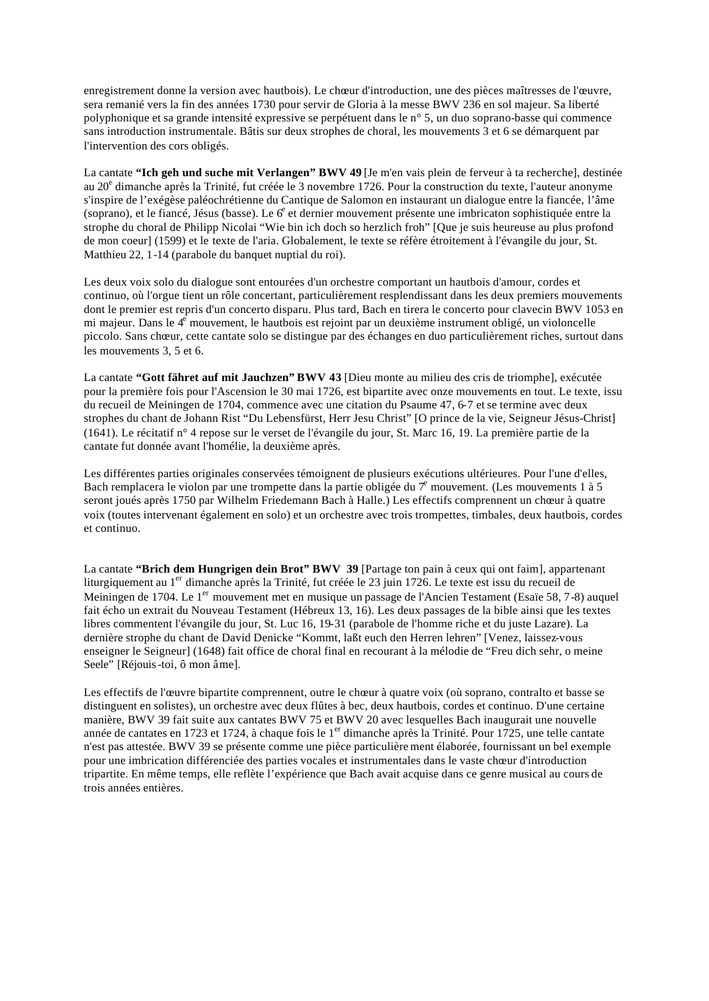enregistrement donne la version avec hautbois). Le chœur d'introduction, une des pièces maîtresses de l'œuvre, sera remanié vers la fin des années 1730 pour servir de Gloria à la messe BWV 236 en sol majeur. Sa liberté polyphonique et sa grande intensité expressive se perpétuent dans le n° 5, un duo soprano-basse qui commence sans introduction instrumentale. Bâtis sur deux strophes de choral, les mouvements 3 et 6 se démarquent par l'intervention des cors obligés.

La cantate **"Ich geh und suche mit Verlangen" BWV 49** [Je m'en vais plein de ferveur à ta recherche], destinée au 20<sup>e</sup> dimanche après la Trinité, fut créée le 3 novembre 1726. Pour la construction du texte, l'auteur anonyme s'inspire de l'exégèse paléochrétienne du Cantique de Salomon en instaurant un dialogue entre la fiancée, l'âme (soprano), et le fiancé, Jésus (basse). Le 6<sup>e</sup> et dernier mouvement présente une imbricaton sophistiquée entre la strophe du choral de Philipp Nicolai "Wie bin ich doch so herzlich froh" [Que je suis heureuse au plus profond de mon coeur] (1599) et le texte de l'aria. Globalement, le texte se réfère étroitement à l'évangile du jour, St. Matthieu 22, 1-14 (parabole du banquet nuptial du roi).

Les deux voix solo du dialogue sont entourées d'un orchestre comportant un hautbois d'amour, cordes et continuo, où l'orgue tient un rôle concertant, particulièrement resplendissant dans les deux premiers mouvements dont le premier est repris d'un concerto disparu. Plus tard, Bach en tirera le concerto pour clavecin BWV 1053 en mi majeur. Dans le 4<sup>e</sup> mouvement, le hautbois est rejoint par un deuxième instrument obligé, un violoncelle piccolo. Sans chœur, cette cantate solo se distingue par des échanges en duo particulièrement riches, surtout dans les mouvements 3, 5 et 6.

La cantate **"Gott fähret auf mit Jauchzen" BWV 43** [Dieu monte au milieu des cris de triomphe], exécutée pour la première fois pour l'Ascension le 30 mai 1726, est bipartite avec onze mouvements en tout. Le texte, issu du recueil de Meiningen de 1704, commence avec une citation du Psaume 47, 6-7 et se termine avec deux strophes du chant de Johann Rist "Du Lebensfürst, Herr Jesu Christ" [O prince de la vie, Seigneur Jésus-Christ] (1641). Le récitatif n° 4 repose sur le verset de l'évangile du jour, St. Marc 16, 19. La première partie de la cantate fut donnée avant l'homélie, la deuxième après.

Les différentes parties originales conservées témoignent de plusieurs exécutions ultérieures. Pour l'une d'elles, Bach remplacera le violon par une trompette dans la partie obligée du  $\tau^e$  mouvement. (Les mouvements 1 à 5 seront joués après 1750 par Wilhelm Friedemann Bach à Halle.) Les effectifs comprennent un chœur à quatre voix (toutes intervenant également en solo) et un orchestre avec trois trompettes, timbales, deux hautbois, cordes et continuo.

La cantate **"Brich dem Hungrigen dein Brot" BWV 39** [Partage ton pain à ceux qui ont faim], appartenant liturgiquement au 1<sup>er</sup> dimanche après la Trinité, fut créée le 23 juin 1726. Le texte est issu du recueil de Meiningen de 1704. Le 1<sup>er</sup> mouvement met en musique un passage de l'Ancien Testament (Esaïe 58, 7-8) auquel fait écho un extrait du Nouveau Testament (Hébreux 13, 16). Les deux passages de la bible ainsi que les textes libres commentent l'évangile du jour, St. Luc 16, 19-31 (parabole de l'homme riche et du juste Lazare). La dernière strophe du chant de David Denicke "Kommt, laßt euch den Herren lehren" [Venez, laissez-vous enseigner le Seigneur] (1648) fait office de choral final en recourant à la mélodie de "Freu dich sehr, o meine Seele" [Réjouis-toi, ô mon âme].

Les effectifs de l'œuvre bipartite comprennent, outre le chœur à quatre voix (où soprano, contralto et basse se distinguent en solistes), un orchestre avec deux flûtes à bec, deux hautbois, cordes et continuo. D'une certaine manière, BWV 39 fait suite aux cantates BWV 75 et BWV 20 avec lesquelles Bach inaugurait une nouvelle année de cantates en 1723 et 1724, à chaque fois le 1<sup>er</sup> dimanche après la Trinité. Pour 1725, une telle cantate n'est pas attestée. BWV 39 se présente comme une pièce particulière ment élaborée, fournissant un bel exemple pour une imbrication différenciée des parties vocales et instrumentales dans le vaste chœur d'introduction tripartite. En même temps, elle reflète l'expérience que Bach avait acquise dans ce genre musical au cours de trois années entières.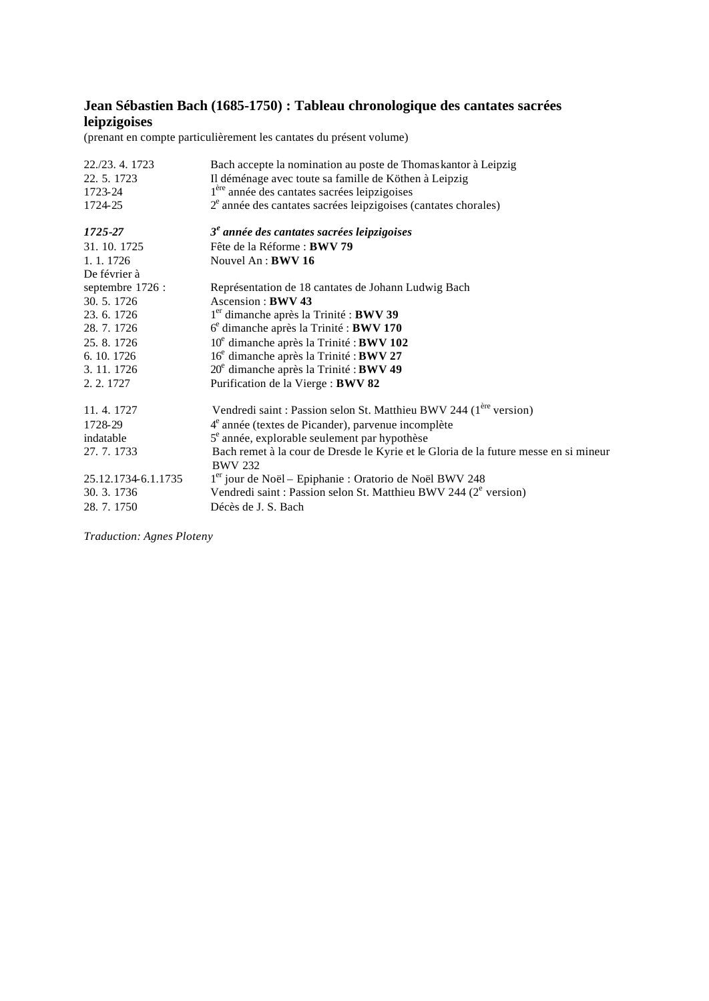### **Jean Sébastien Bach (1685-1750) : Tableau chronologique des cantates sacrées leipzigoises**

(prenant en compte particulièrement les cantates du présent volume)

| 22./23. 4. 1723     | Bach accepte la nomination au poste de Thomas kantor à Leipzig                                         |
|---------------------|--------------------------------------------------------------------------------------------------------|
| 22.5.1723           | Il déménage avec toute sa famille de Köthen à Leipzig                                                  |
| 1723-24             | l <sup>ère</sup> année des cantates sacrées leipzigoises                                               |
| 1724-25             | $2^e$ année des cantates sacrées leipzigoises (cantates chorales)                                      |
| 1725-27             | $3e$ année des cantates sacrées leipzigoises                                                           |
| 31.10.1725          | Fête de la Réforme : <b>BWV 79</b>                                                                     |
| 1. 1. 1726          | Nouvel $An : BWV 16$                                                                                   |
| De février à        |                                                                                                        |
| septembre 1726 :    | Représentation de 18 cantates de Johann Ludwig Bach                                                    |
| 30.5.1726           | Ascension: BWV 43                                                                                      |
| 23.6.1726           | $1er$ dimanche après la Trinité : <b>BWV 39</b>                                                        |
| 28.7.1726           | $6e$ dimanche après la Trinité : <b>BWV 170</b>                                                        |
| 25, 8, 1726         | 10 <sup>e</sup> dimanche après la Trinité : BWV 102                                                    |
| 6. 10. 1726         | 16 <sup>e</sup> dimanche après la Trinité : <b>BWV 27</b>                                              |
| 3. 11. 1726         | $20^e$ dimanche après la Trinité : BWV 49                                                              |
| 2. 2. 1727          | Purification de la Vierge : BWV 82                                                                     |
| 11, 4, 1727         | Vendredi saint : Passion selon St. Matthieu BWV 244 (1 <sup>ère</sup> version)                         |
| 1728-29             | 4 <sup>e</sup> année (textes de Picander), parvenue incomplète                                         |
| indatable           | $5^e$ année, explorable seulement par hypothèse                                                        |
| 27. 7. 1733         | Bach remet à la cour de Dresde le Kyrie et le Gloria de la future messe en si mineur<br><b>BWV 232</b> |
| 25.12.1734-6.1.1735 | 1 <sup>er</sup> jour de Noël – Epiphanie : Oratorio de Noël BWV 248                                    |
| 30. 3. 1736         | Vendredi saint : Passion selon St. Matthieu BWV 244 (2 <sup>e</sup> version)                           |
| 28.7.1750           | Décès de J. S. Bach                                                                                    |

*Traduction: Agnes Ploteny*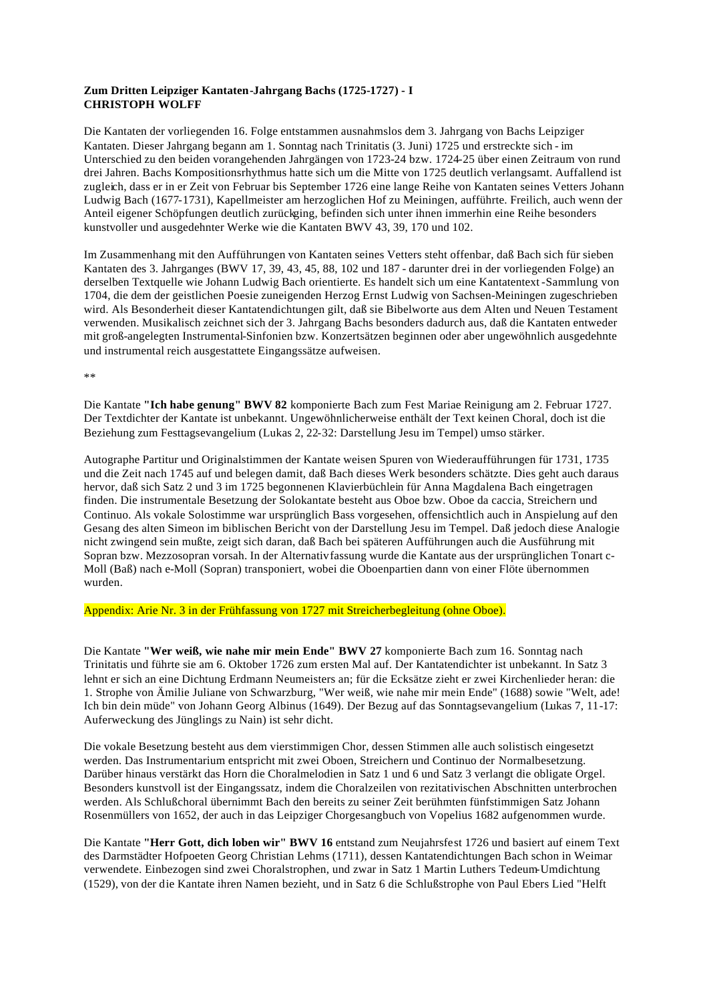#### **Zum Dritten Leipziger Kantaten-Jahrgang Bachs (1725-1727) - I CHRISTOPH WOLFF**

Die Kantaten der vorliegenden 16. Folge entstammen ausnahmslos dem 3. Jahrgang von Bachs Leipziger Kantaten. Dieser Jahrgang begann am 1. Sonntag nach Trinitatis (3. Juni) 1725 und erstreckte sich - im Unterschied zu den beiden vorangehenden Jahrgängen von 1723-24 bzw. 1724-25 über einen Zeitraum von rund drei Jahren. Bachs Kompositionsrhythmus hatte sich um die Mitte von 1725 deutlich verlangsamt. Auffallend ist zugleich, dass er in er Zeit von Februar bis September 1726 eine lange Reihe von Kantaten seines Vetters Johann Ludwig Bach (1677-1731), Kapellmeister am herzoglichen Hof zu Meiningen, aufführte. Freilich, auch wenn der Anteil eigener Schöpfungen deutlich zurückging, befinden sich unter ihnen immerhin eine Reihe besonders kunstvoller und ausgedehnter Werke wie die Kantaten BWV 43, 39, 170 und 102.

Im Zusammenhang mit den Aufführungen von Kantaten seines Vetters steht offenbar, daß Bach sich für sieben Kantaten des 3. Jahrganges (BWV 17, 39, 43, 45, 88, 102 und 187 - darunter drei in der vorliegenden Folge) an derselben Textquelle wie Johann Ludwig Bach orientierte. Es handelt sich um eine Kantatentext-Sammlung von 1704, die dem der geistlichen Poesie zuneigenden Herzog Ernst Ludwig von Sachsen-Meiningen zugeschrieben wird. Als Besonderheit dieser Kantatendichtungen gilt, daß sie Bibelworte aus dem Alten und Neuen Testament verwenden. Musikalisch zeichnet sich der 3. Jahrgang Bachs besonders dadurch aus, daß die Kantaten entweder mit groß-angelegten Instrumental-Sinfonien bzw. Konzertsätzen beginnen oder aber ungewöhnlich ausgedehnte und instrumental reich ausgestattete Eingangssätze aufweisen.

\*\*

Die Kantate **"Ich habe genung" BWV 82** komponierte Bach zum Fest Mariae Reinigung am 2. Februar 1727. Der Textdichter der Kantate ist unbekannt. Ungewöhnlicherweise enthält der Text keinen Choral, doch ist die Beziehung zum Festtagsevangelium (Lukas 2, 22-32: Darstellung Jesu im Tempel) umso stärker.

Autographe Partitur und Originalstimmen der Kantate weisen Spuren von Wiederaufführungen für 1731, 1735 und die Zeit nach 1745 auf und belegen damit, daß Bach dieses Werk besonders schätzte. Dies geht auch daraus hervor, daß sich Satz 2 und 3 im 1725 begonnenen Klavierbüchlein für Anna Magdalena Bach eingetragen finden. Die instrumentale Besetzung der Solokantate besteht aus Oboe bzw. Oboe da caccia, Streichern und Continuo. Als vokale Solostimme war ursprünglich Bass vorgesehen, offensichtlich auch in Anspielung auf den Gesang des alten Simeon im biblischen Bericht von der Darstellung Jesu im Tempel. Daß jedoch diese Analogie nicht zwingend sein mußte, zeigt sich daran, daß Bach bei späteren Aufführungen auch die Ausführung mit Sopran bzw. Mezzosopran vorsah. In der Alternativfassung wurde die Kantate aus der ursprünglichen Tonart c-Moll (Baß) nach e-Moll (Sopran) transponiert, wobei die Oboenpartien dann von einer Flöte übernommen wurden.

Appendix: Arie Nr. 3 in der Frühfassung von 1727 mit Streicherbegleitung (ohne Oboe).

Die Kantate **"Wer weiß, wie nahe mir mein Ende" BWV 27** komponierte Bach zum 16. Sonntag nach Trinitatis und führte sie am 6. Oktober 1726 zum ersten Mal auf. Der Kantatendichter ist unbekannt. In Satz 3 lehnt er sich an eine Dichtung Erdmann Neumeisters an; für die Ecksätze zieht er zwei Kirchenlieder heran: die 1. Strophe von Ämilie Juliane von Schwarzburg, "Wer weiß, wie nahe mir mein Ende" (1688) sowie "Welt, ade! Ich bin dein müde" von Johann Georg Albinus (1649). Der Bezug auf das Sonntagsevangelium (Lukas 7, 11-17: Auferweckung des Jünglings zu Nain) ist sehr dicht.

Die vokale Besetzung besteht aus dem vierstimmigen Chor, dessen Stimmen alle auch solistisch eingesetzt werden. Das Instrumentarium entspricht mit zwei Oboen, Streichern und Continuo der Normalbesetzung. Darüber hinaus verstärkt das Horn die Choralmelodien in Satz 1 und 6 und Satz 3 verlangt die obligate Orgel. Besonders kunstvoll ist der Eingangssatz, indem die Choralzeilen von rezitativischen Abschnitten unterbrochen werden. Als Schlußchoral übernimmt Bach den bereits zu seiner Zeit berühmten fünfstimmigen Satz Johann Rosenmüllers von 1652, der auch in das Leipziger Chorgesangbuch von Vopelius 1682 aufgenommen wurde.

Die Kantate **"Herr Gott, dich loben wir" BWV 16** entstand zum Neujahrsfest 1726 und basiert auf einem Text des Darmstädter Hofpoeten Georg Christian Lehms (1711), dessen Kantatendichtungen Bach schon in Weimar verwendete. Einbezogen sind zwei Choralstrophen, und zwar in Satz 1 Martin Luthers Tedeum-Umdichtung (1529), von der die Kantate ihren Namen bezieht, und in Satz 6 die Schlußstrophe von Paul Ebers Lied "Helft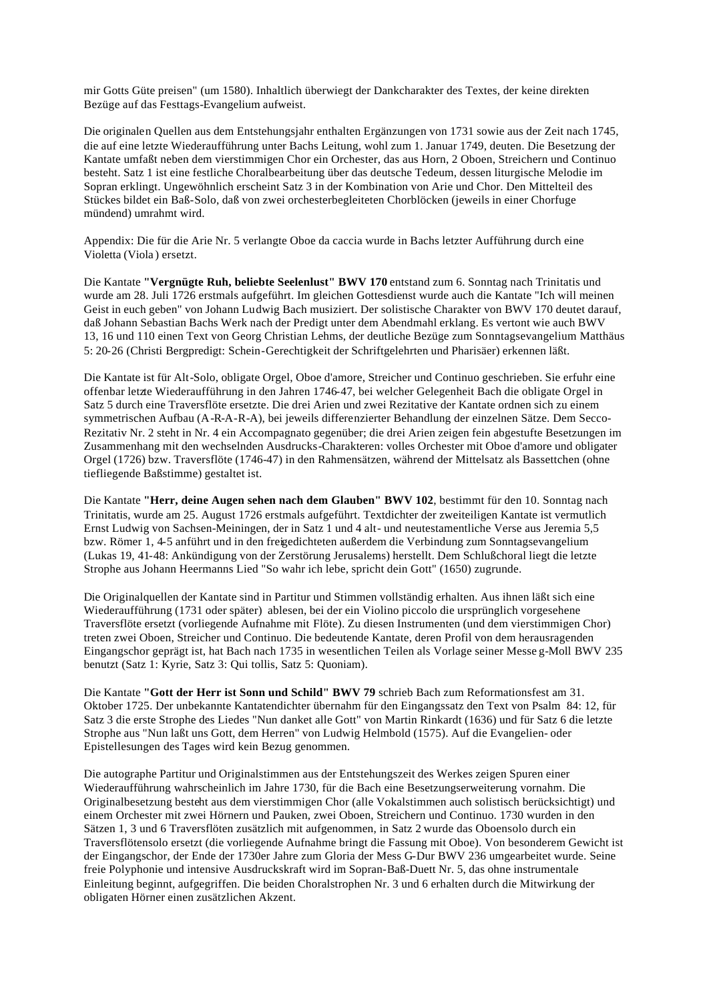mir Gotts Güte preisen" (um 1580). Inhaltlich überwiegt der Dankcharakter des Textes, der keine direkten Bezüge auf das Festtags-Evangelium aufweist.

Die originalen Quellen aus dem Entstehungsjahr enthalten Ergänzungen von 1731 sowie aus der Zeit nach 1745, die auf eine letzte Wiederaufführung unter Bachs Leitung, wohl zum 1. Januar 1749, deuten. Die Besetzung der Kantate umfaßt neben dem vierstimmigen Chor ein Orchester, das aus Horn, 2 Oboen, Streichern und Continuo besteht. Satz 1 ist eine festliche Choralbearbeitung über das deutsche Tedeum, dessen liturgische Melodie im Sopran erklingt. Ungewöhnlich erscheint Satz 3 in der Kombination von Arie und Chor. Den Mittelteil des Stückes bildet ein Baß-Solo, daß von zwei orchesterbegleiteten Chorblöcken (jeweils in einer Chorfuge mündend) umrahmt wird.

Appendix: Die für die Arie Nr. 5 verlangte Oboe da caccia wurde in Bachs letzter Aufführung durch eine Violetta (Viola ) ersetzt.

Die Kantate **"Vergnügte Ruh, beliebte Seelenlust" BWV 170** entstand zum 6. Sonntag nach Trinitatis und wurde am 28. Juli 1726 erstmals aufgeführt. Im gleichen Gottesdienst wurde auch die Kantate "Ich will meinen Geist in euch geben" von Johann Ludwig Bach musiziert. Der solistische Charakter von BWV 170 deutet darauf, daß Johann Sebastian Bachs Werk nach der Predigt unter dem Abendmahl erklang. Es vertont wie auch BWV 13, 16 und 110 einen Text von Georg Christian Lehms, der deutliche Bezüge zum Sonntagsevangelium Matthäus 5: 20-26 (Christi Bergpredigt: Schein-Gerechtigkeit der Schriftgelehrten und Pharisäer) erkennen läßt.

Die Kantate ist für Alt-Solo, obligate Orgel, Oboe d'amore, Streicher und Continuo geschrieben. Sie erfuhr eine offenbar letzte Wiederaufführung in den Jahren 1746-47, bei welcher Gelegenheit Bach die obligate Orgel in Satz 5 durch eine Traversflöte ersetzte. Die drei Arien und zwei Rezitative der Kantate ordnen sich zu einem symmetrischen Aufbau (A-R-A-R-A), bei jeweils differenzierter Behandlung der einzelnen Sätze. Dem Secco-Rezitativ Nr. 2 steht in Nr. 4 ein Accompagnato gegenüber; die drei Arien zeigen fein abgestufte Besetzungen im Zusammenhang mit den wechselnden Ausdrucks-Charakteren: volles Orchester mit Oboe d'amore und obligater Orgel (1726) bzw. Traversflöte (1746-47) in den Rahmensätzen, während der Mittelsatz als Bassettchen (ohne tiefliegende Baßstimme) gestaltet ist.

Die Kantate **"Herr, deine Augen sehen nach dem Glauben" BWV 102**, bestimmt für den 10. Sonntag nach Trinitatis, wurde am 25. August 1726 erstmals aufgeführt. Textdichter der zweiteiligen Kantate ist vermutlich Ernst Ludwig von Sachsen-Meiningen, der in Satz 1 und 4 alt- und neutestamentliche Verse aus Jeremia 5,5 bzw. Römer 1, 4-5 anführt und in den freigedichteten außerdem die Verbindung zum Sonntagsevangelium (Lukas 19, 41-48: Ankündigung von der Zerstörung Jerusalems) herstellt. Dem Schlußchoral liegt die letzte Strophe aus Johann Heermanns Lied "So wahr ich lebe, spricht dein Gott" (1650) zugrunde.

Die Originalquellen der Kantate sind in Partitur und Stimmen vollständig erhalten. Aus ihnen läßt sich eine Wiederaufführung (1731 oder später) ablesen, bei der ein Violino piccolo die ursprünglich vorgesehene Traversflöte ersetzt (vorliegende Aufnahme mit Flöte). Zu diesen Instrumenten (und dem vierstimmigen Chor) treten zwei Oboen, Streicher und Continuo. Die bedeutende Kantate, deren Profil von dem herausragenden Eingangschor geprägt ist, hat Bach nach 1735 in wesentlichen Teilen als Vorlage seiner Messe g-Moll BWV 235 benutzt (Satz 1: Kyrie, Satz 3: Qui tollis, Satz 5: Quoniam).

Die Kantate **"Gott der Herr ist Sonn und Schild" BWV 79** schrieb Bach zum Reformationsfest am 31. Oktober 1725. Der unbekannte Kantatendichter übernahm für den Eingangssatz den Text von Psalm 84: 12, für Satz 3 die erste Strophe des Liedes "Nun danket alle Gott" von Martin Rinkardt (1636) und für Satz 6 die letzte Strophe aus "Nun laßt uns Gott, dem Herren" von Ludwig Helmbold (1575). Auf die Evangelien- oder Epistellesungen des Tages wird kein Bezug genommen.

Die autographe Partitur und Originalstimmen aus der Entstehungszeit des Werkes zeigen Spuren einer Wiederaufführung wahrscheinlich im Jahre 1730, für die Bach eine Besetzungserweiterung vornahm. Die Originalbesetzung besteht aus dem vierstimmigen Chor (alle Vokalstimmen auch solistisch berücksichtigt) und einem Orchester mit zwei Hörnern und Pauken, zwei Oboen, Streichern und Continuo. 1730 wurden in den Sätzen 1, 3 und 6 Traversflöten zusätzlich mit aufgenommen, in Satz 2 wurde das Oboensolo durch ein Traversflötensolo ersetzt (die vorliegende Aufnahme bringt die Fassung mit Oboe). Von besonderem Gewicht ist der Eingangschor, der Ende der 1730er Jahre zum Gloria der Mess G-Dur BWV 236 umgearbeitet wurde. Seine freie Polyphonie und intensive Ausdruckskraft wird im Sopran-Baß-Duett Nr. 5, das ohne instrumentale Einleitung beginnt, aufgegriffen. Die beiden Choralstrophen Nr. 3 und 6 erhalten durch die Mitwirkung der obligaten Hörner einen zusätzlichen Akzent.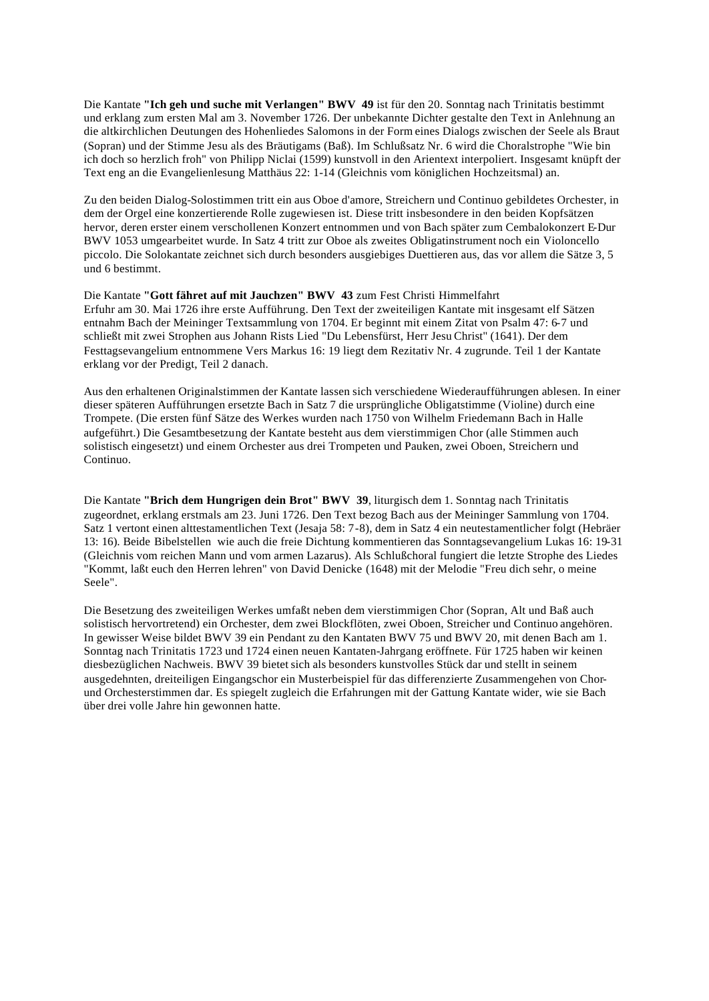Die Kantate **"Ich geh und suche mit Verlangen" BWV 49** ist für den 20. Sonntag nach Trinitatis bestimmt und erklang zum ersten Mal am 3. November 1726. Der unbekannte Dichter gestalte den Text in Anlehnung an die altkirchlichen Deutungen des Hohenliedes Salomons in der Form eines Dialogs zwischen der Seele als Braut (Sopran) und der Stimme Jesu als des Bräutigams (Baß). Im Schlußsatz Nr. 6 wird die Choralstrophe "Wie bin ich doch so herzlich froh" von Philipp Niclai (1599) kunstvoll in den Arientext interpoliert. Insgesamt knüpft der Text eng an die Evangelienlesung Matthäus 22: 1-14 (Gleichnis vom königlichen Hochzeitsmal) an.

Zu den beiden Dialog-Solostimmen tritt ein aus Oboe d'amore, Streichern und Continuo gebildetes Orchester, in dem der Orgel eine konzertierende Rolle zugewiesen ist. Diese tritt insbesondere in den beiden Kopfsätzen hervor, deren erster einem verschollenen Konzert entnommen und von Bach später zum Cembalokonzert E-Dur BWV 1053 umgearbeitet wurde. In Satz 4 tritt zur Oboe als zweites Obligatinstrument noch ein Violoncello piccolo. Die Solokantate zeichnet sich durch besonders ausgiebiges Duettieren aus, das vor allem die Sätze 3, 5 und 6 bestimmt.

Die Kantate **"Gott fähret auf mit Jauchzen" BWV 43** zum Fest Christi Himmelfahrt Erfuhr am 30. Mai 1726 ihre erste Aufführung. Den Text der zweiteiligen Kantate mit insgesamt elf Sätzen entnahm Bach der Meininger Textsammlung von 1704. Er beginnt mit einem Zitat von Psalm 47: 6-7 und schließt mit zwei Strophen aus Johann Rists Lied "Du Lebensfürst, Herr Jesu Christ" (1641). Der dem Festtagsevangelium entnommene Vers Markus 16: 19 liegt dem Rezitativ Nr. 4 zugrunde. Teil 1 der Kantate erklang vor der Predigt, Teil 2 danach.

Aus den erhaltenen Originalstimmen der Kantate lassen sich verschiedene Wiederaufführungen ablesen. In einer dieser späteren Aufführungen ersetzte Bach in Satz 7 die ursprüngliche Obligatstimme (Violine) durch eine Trompete. (Die ersten fünf Sätze des Werkes wurden nach 1750 von Wilhelm Friedemann Bach in Halle aufgeführt.) Die Gesamtbesetzung der Kantate besteht aus dem vierstimmigen Chor (alle Stimmen auch solistisch eingesetzt) und einem Orchester aus drei Trompeten und Pauken, zwei Oboen, Streichern und Continuo.

Die Kantate **"Brich dem Hungrigen dein Brot" BWV 39**, liturgisch dem 1. Sonntag nach Trinitatis zugeordnet, erklang erstmals am 23. Juni 1726. Den Text bezog Bach aus der Meininger Sammlung von 1704. Satz 1 vertont einen alttestamentlichen Text (Jesaja 58: 7-8), dem in Satz 4 ein neutestamentlicher folgt (Hebräer 13: 16). Beide Bibelstellen wie auch die freie Dichtung kommentieren das Sonntagsevangelium Lukas 16: 19-31 (Gleichnis vom reichen Mann und vom armen Lazarus). Als Schlußchoral fungiert die letzte Strophe des Liedes "Kommt, laßt euch den Herren lehren" von David Denicke (1648) mit der Melodie "Freu dich sehr, o meine Seele".

Die Besetzung des zweiteiligen Werkes umfaßt neben dem vierstimmigen Chor (Sopran, Alt und Baß auch solistisch hervortretend) ein Orchester, dem zwei Blockflöten, zwei Oboen, Streicher und Continuo angehören. In gewisser Weise bildet BWV 39 ein Pendant zu den Kantaten BWV 75 und BWV 20, mit denen Bach am 1. Sonntag nach Trinitatis 1723 und 1724 einen neuen Kantaten-Jahrgang eröffnete. Für 1725 haben wir keinen diesbezüglichen Nachweis. BWV 39 bietet sich als besonders kunstvolles Stück dar und stellt in seinem ausgedehnten, dreiteiligen Eingangschor ein Musterbeispiel für das differenzierte Zusammengehen von Chorund Orchesterstimmen dar. Es spiegelt zugleich die Erfahrungen mit der Gattung Kantate wider, wie sie Bach über drei volle Jahre hin gewonnen hatte.